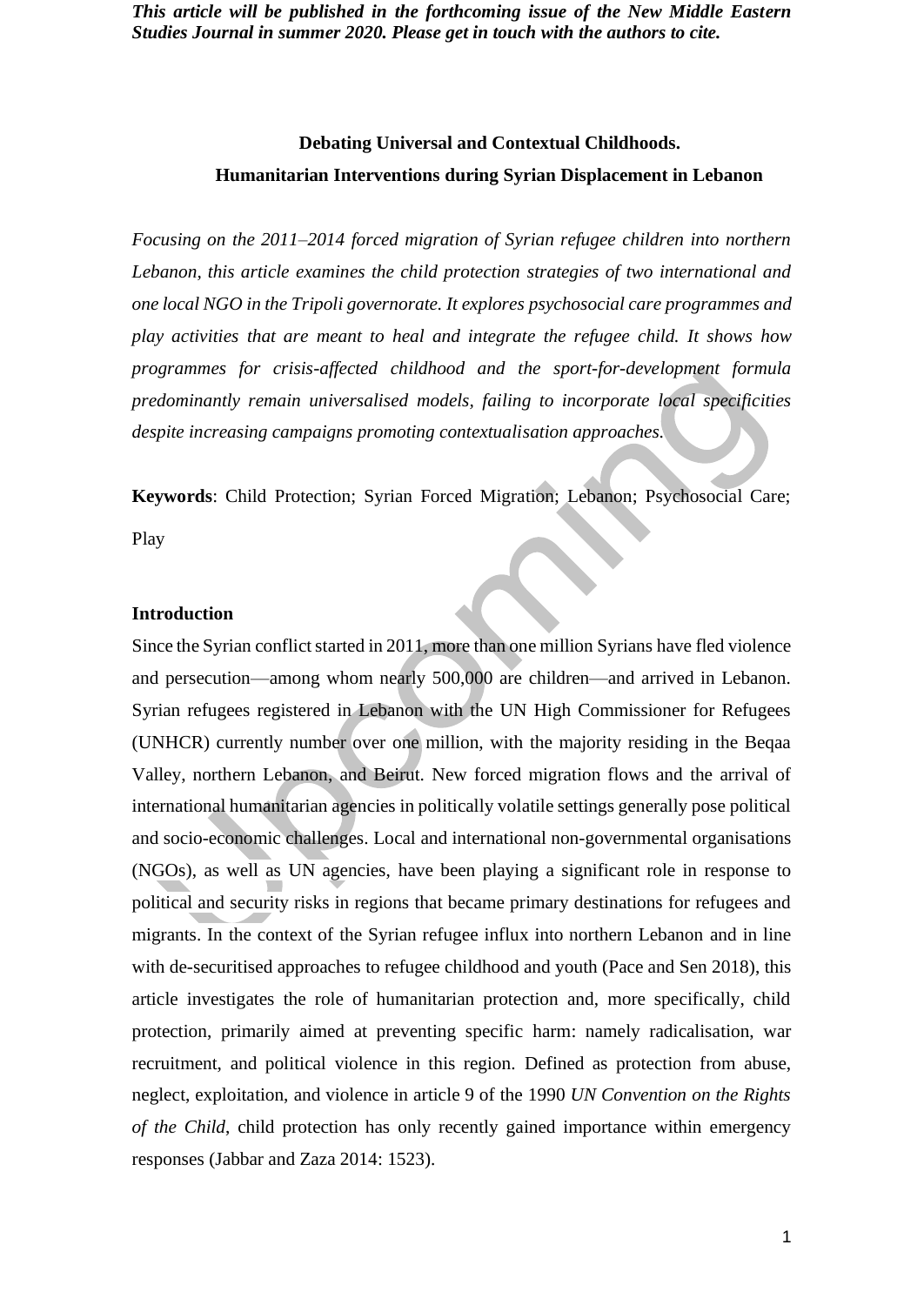# **Debating Universal and Contextual Childhoods. Humanitarian Interventions during Syrian Displacement in Lebanon**

*Focusing on the 2011–2014 forced migration of Syrian refugee children into northern Lebanon, this article examines the child protection strategies of two international and one local NGO in the Tripoli governorate. It explores psychosocial care programmes and play activities that are meant to heal and integrate the refugee child. It shows how programmes for crisis-affected childhood and the sport-for-development formula predominantly remain universalised models, failing to incorporate local specificities despite increasing campaigns promoting contextualisation approaches.*

**Keywords**: Child Protection; Syrian Forced Migration; Lebanon; Psychosocial Care;

Play

#### **Introduction**

Since the Syrian conflict started in 2011, more than one million Syrians have fled violence and persecution—among whom nearly 500,000 are children—and arrived in Lebanon. Syrian refugees registered in Lebanon with the UN High Commissioner for Refugees (UNHCR) currently number over one million, with the majority residing in the Beqaa Valley, northern Lebanon, and Beirut. New forced migration flows and the arrival of international humanitarian agencies in politically volatile settings generally pose political and socio-economic challenges. Local and international non-governmental organisations (NGOs), as well as UN agencies, have been playing a significant role in response to political and security risks in regions that became primary destinations for refugees and migrants. In the context of the Syrian refugee influx into northern Lebanon and in line with de-securitised approaches to refugee childhood and youth (Pace and Sen 2018), this article investigates the role of humanitarian protection and, more specifically, child protection, primarily aimed at preventing specific harm: namely radicalisation, war recruitment, and political violence in this region. Defined as protection from abuse, neglect, exploitation, and violence in article 9 of the 1990 *UN Convention on the Rights of the Child*, child protection has only recently gained importance within emergency responses (Jabbar and Zaza 2014: 1523).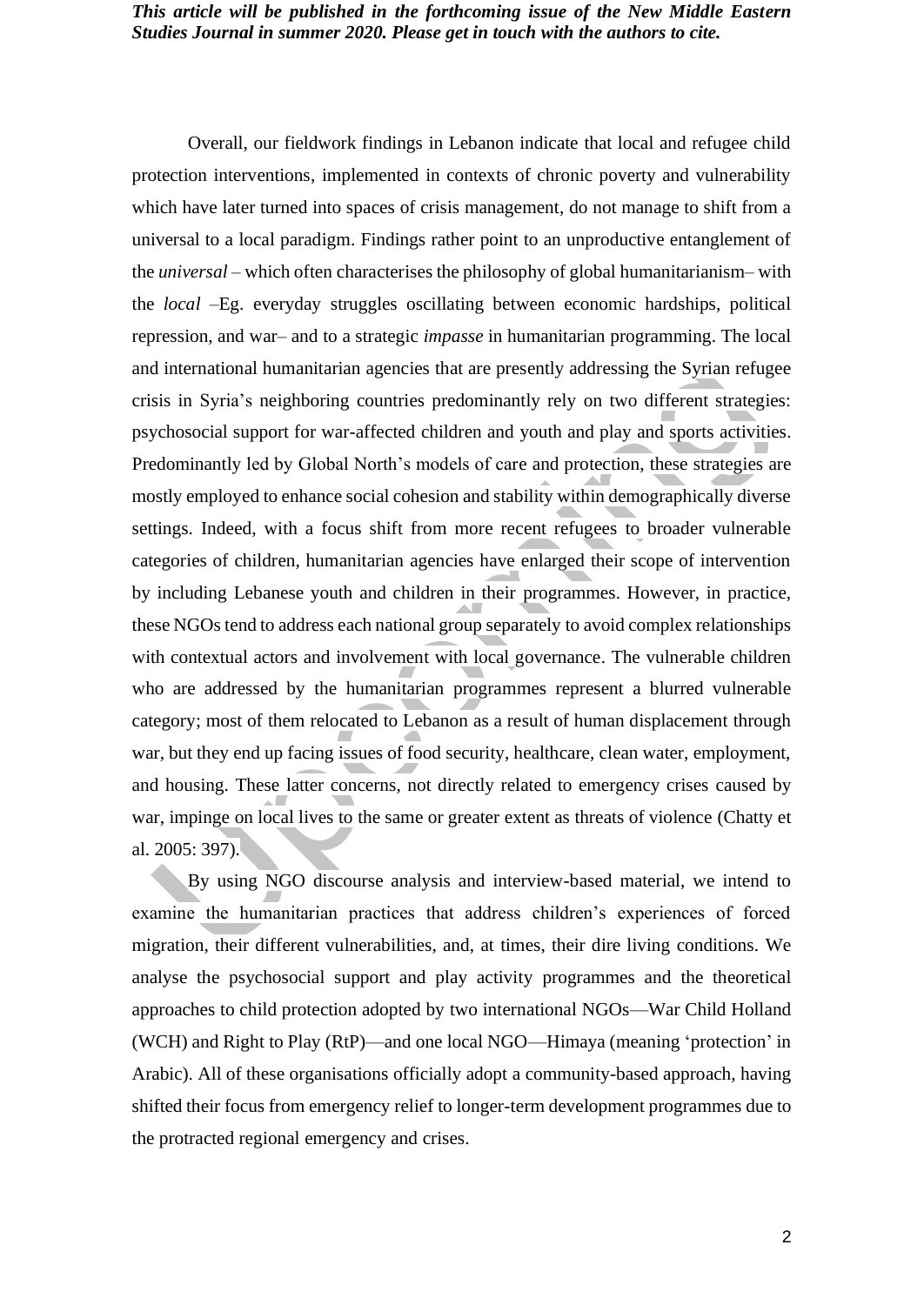Overall, our fieldwork findings in Lebanon indicate that local and refugee child protection interventions, implemented in contexts of chronic poverty and vulnerability which have later turned into spaces of crisis management, do not manage to shift from a universal to a local paradigm. Findings rather point to an unproductive entanglement of the *universal* – which often characterises the philosophy of global humanitarianism– with the *local* –Eg. everyday struggles oscillating between economic hardships, political repression, and war– and to a strategic *impasse* in humanitarian programming. The local and international humanitarian agencies that are presently addressing the Syrian refugee crisis in Syria's neighboring countries predominantly rely on two different strategies: psychosocial support for war-affected children and youth and play and sports activities. Predominantly led by Global North's models of care and protection, these strategies are mostly employed to enhance social cohesion and stability within demographically diverse settings. Indeed, with a focus shift from more recent refugees to broader vulnerable categories of children, humanitarian agencies have enlarged their scope of intervention by including Lebanese youth and children in their programmes. However, in practice, these NGOs tend to address each national group separately to avoid complex relationships with contextual actors and involvement with local governance. The vulnerable children who are addressed by the humanitarian programmes represent a blurred vulnerable category; most of them relocated to Lebanon as a result of human displacement through war, but they end up facing issues of food security, healthcare, clean water, employment, and housing. These latter concerns, not directly related to emergency crises caused by war, impinge on local lives to the same or greater extent as threats of violence (Chatty et al. 2005: 397).

By using NGO discourse analysis and interview-based material, we intend to examine the humanitarian practices that address children's experiences of forced migration, their different vulnerabilities, and, at times, their dire living conditions. We analyse the psychosocial support and play activity programmes and the theoretical approaches to child protection adopted by two international NGOs—War Child Holland (WCH) and Right to Play (RtP)—and one local NGO—Himaya (meaning 'protection' in Arabic). All of these organisations officially adopt a community-based approach, having shifted their focus from emergency relief to longer-term development programmes due to the protracted regional emergency and crises.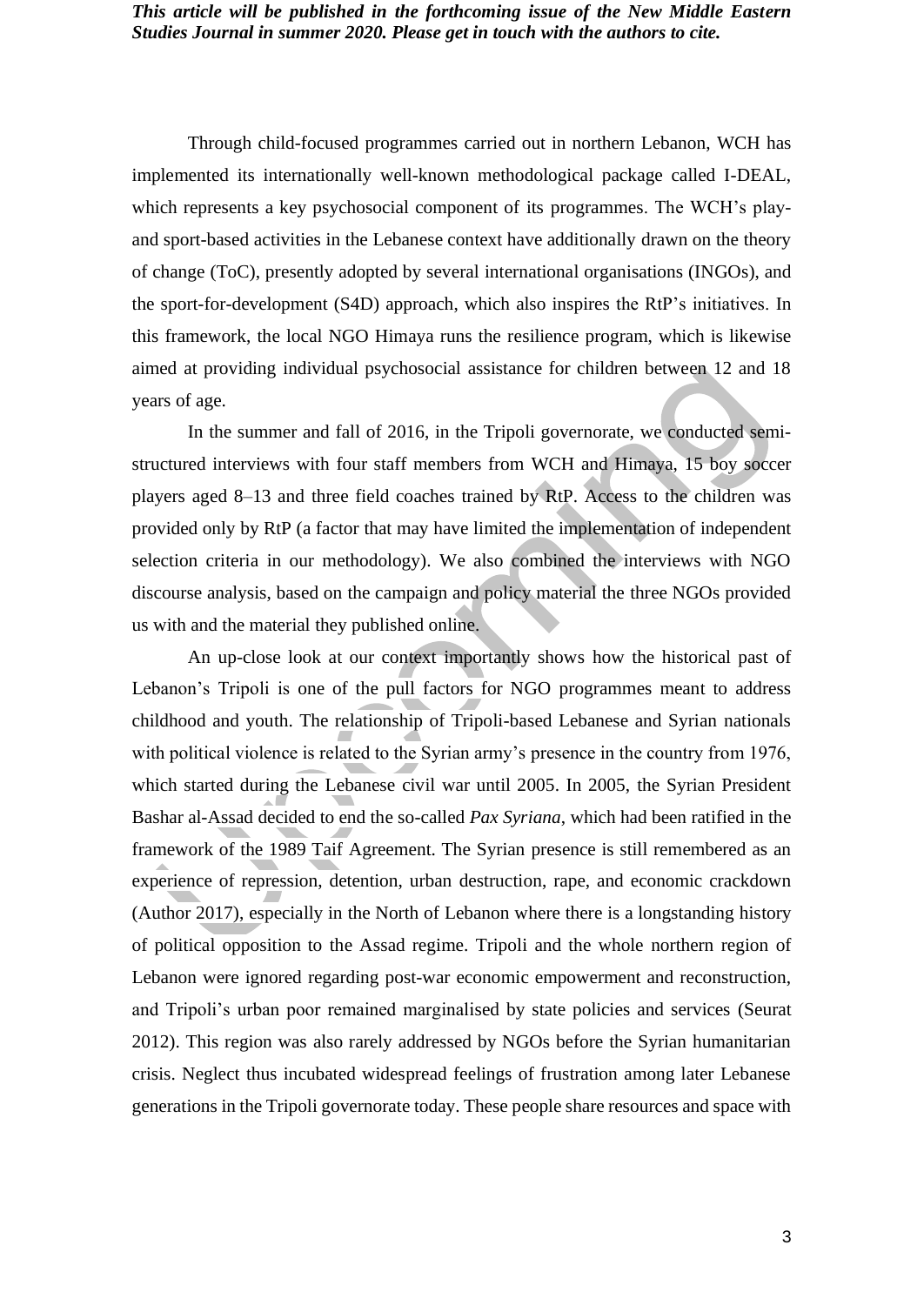Through child-focused programmes carried out in northern Lebanon, WCH has implemented its internationally well-known methodological package called I-DEAL, which represents a key psychosocial component of its programmes. The WCH's playand sport-based activities in the Lebanese context have additionally drawn on the theory of change (ToC), presently adopted by several international organisations (INGOs), and the sport-for-development (S4D) approach, which also inspires the RtP's initiatives. In this framework, the local NGO Himaya runs the resilience program, which is likewise aimed at providing individual psychosocial assistance for children between 12 and 18 years of age.

In the summer and fall of 2016, in the Tripoli governorate, we conducted semistructured interviews with four staff members from WCH and Himaya, 15 boy soccer players aged 8–13 and three field coaches trained by RtP. Access to the children was provided only by RtP (a factor that may have limited the implementation of independent selection criteria in our methodology). We also combined the interviews with NGO discourse analysis, based on the campaign and policy material the three NGOs provided us with and the material they published online.

An up-close look at our context importantly shows how the historical past of Lebanon's Tripoli is one of the pull factors for NGO programmes meant to address childhood and youth. The relationship of Tripoli-based Lebanese and Syrian nationals with political violence is related to the Syrian army's presence in the country from 1976, which started during the Lebanese civil war until 2005. In 2005, the Syrian President Bashar al-Assad decided to end the so-called *Pax Syriana*, which had been ratified in the framework of the 1989 Taif Agreement. The Syrian presence is still remembered as an experience of repression, detention, urban destruction, rape, and economic crackdown (Author 2017), especially in the North of Lebanon where there is a longstanding history of political opposition to the Assad regime. Tripoli and the whole northern region of Lebanon were ignored regarding post-war economic empowerment and reconstruction, and Tripoli's urban poor remained marginalised by state policies and services (Seurat 2012). This region was also rarely addressed by NGOs before the Syrian humanitarian crisis. Neglect thus incubated widespread feelings of frustration among later Lebanese generations in the Tripoli governorate today. These people share resources and space with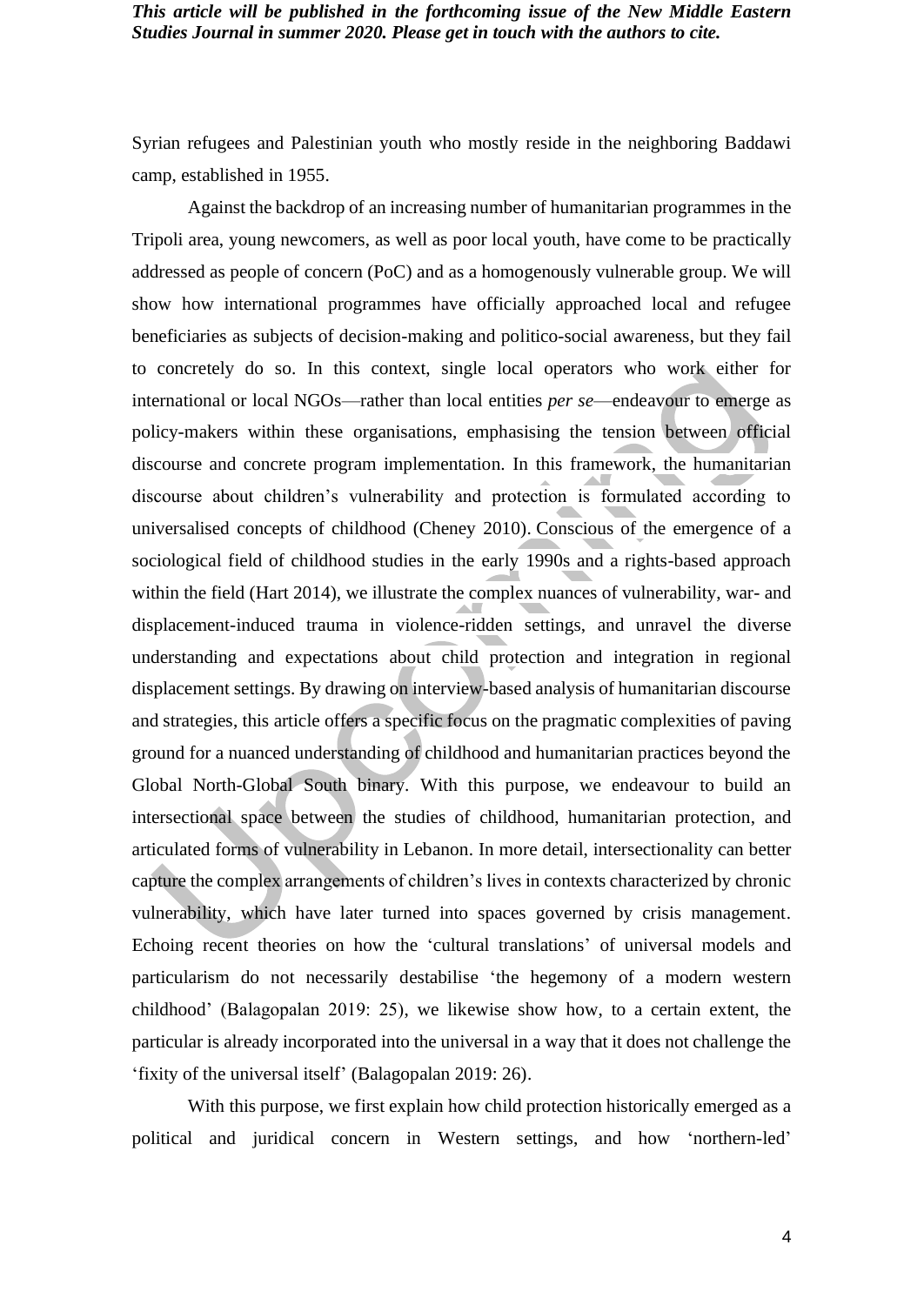Syrian refugees and Palestinian youth who mostly reside in the neighboring Baddawi camp, established in 1955.

Against the backdrop of an increasing number of humanitarian programmes in the Tripoli area, young newcomers, as well as poor local youth, have come to be practically addressed as people of concern (PoC) and as a homogenously vulnerable group. We will show how international programmes have officially approached local and refugee beneficiaries as subjects of decision-making and politico-social awareness, but they fail to concretely do so. In this context, single local operators who work either for international or local NGOs—rather than local entities *per se*—endeavour to emerge as policy-makers within these organisations, emphasising the tension between official discourse and concrete program implementation. In this framework, the humanitarian discourse about children's vulnerability and protection is formulated according to universalised concepts of childhood (Cheney 2010). Conscious of the emergence of a sociological field of childhood studies in the early 1990s and a rights-based approach within the field (Hart 2014), we illustrate the complex nuances of vulnerability, war- and displacement-induced trauma in violence-ridden settings, and unravel the diverse understanding and expectations about child protection and integration in regional displacement settings. By drawing on interview-based analysis of humanitarian discourse and strategies, this article offers a specific focus on the pragmatic complexities of paving ground for a nuanced understanding of childhood and humanitarian practices beyond the Global North-Global South binary. With this purpose, we endeavour to build an intersectional space between the studies of childhood, humanitarian protection, and articulated forms of vulnerability in Lebanon. In more detail, intersectionality can better capture the complex arrangements of children's lives in contexts characterized by chronic vulnerability, which have later turned into spaces governed by crisis management. Echoing recent theories on how the 'cultural translations' of universal models and particularism do not necessarily destabilise 'the hegemony of a modern western childhood' (Balagopalan 2019: 25), we likewise show how, to a certain extent, the particular is already incorporated into the universal in a way that it does not challenge the 'fixity of the universal itself' (Balagopalan 2019: 26).

With this purpose, we first explain how child protection historically emerged as a political and juridical concern in Western settings, and how 'northern-led'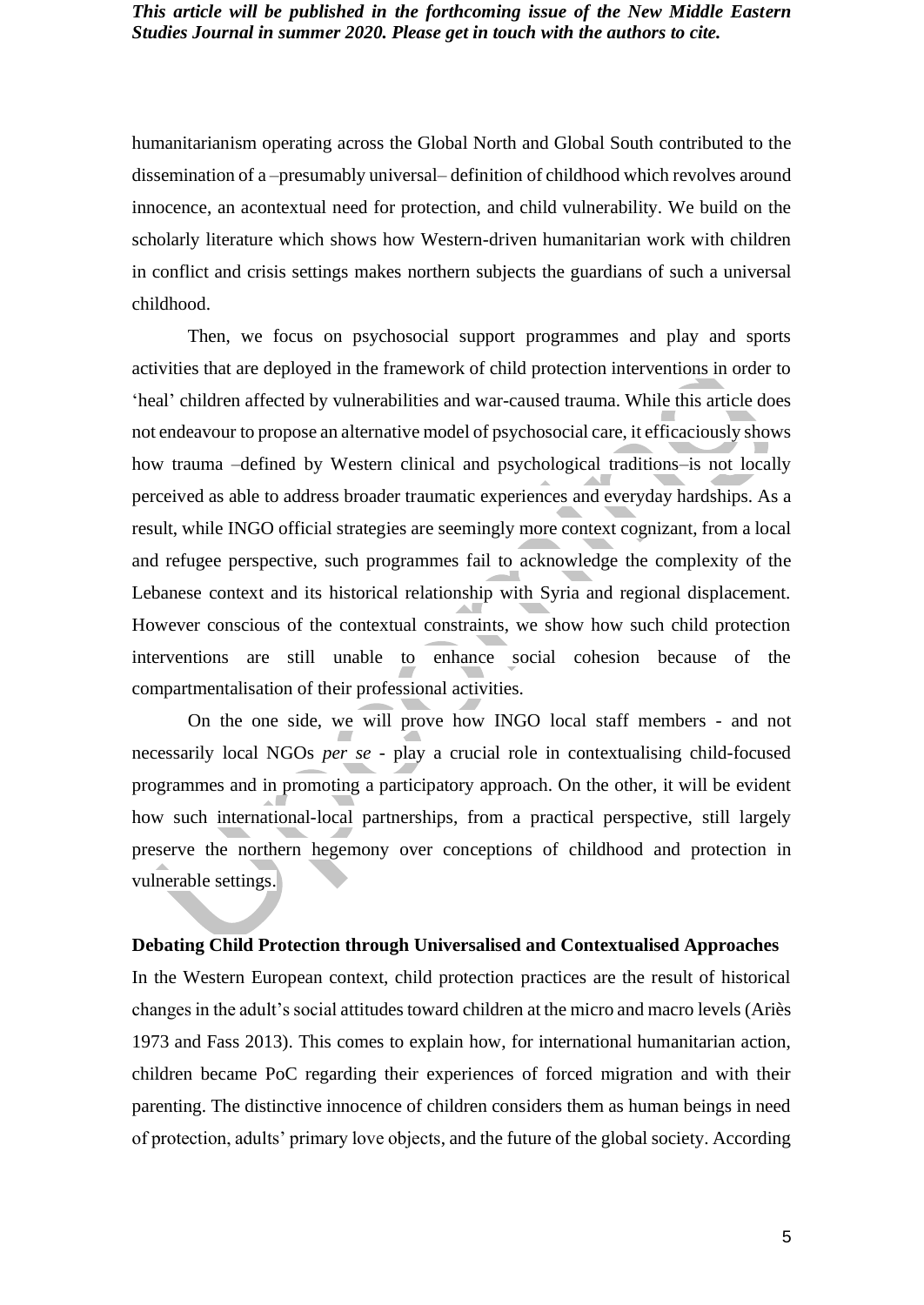humanitarianism operating across the Global North and Global South contributed to the dissemination of a –presumably universal– definition of childhood which revolves around innocence, an acontextual need for protection, and child vulnerability. We build on the scholarly literature which shows how Western-driven humanitarian work with children in conflict and crisis settings makes northern subjects the guardians of such a universal childhood.

Then, we focus on psychosocial support programmes and play and sports activities that are deployed in the framework of child protection interventions in order to 'heal' children affected by vulnerabilities and war-caused trauma. While this article does not endeavour to propose an alternative model of psychosocial care, it efficaciously shows how trauma –defined by Western clinical and psychological traditions–is not locally perceived as able to address broader traumatic experiences and everyday hardships. As a result, while INGO official strategies are seemingly more context cognizant, from a local and refugee perspective, such programmes fail to acknowledge the complexity of the Lebanese context and its historical relationship with Syria and regional displacement. However conscious of the contextual constraints, we show how such child protection interventions are still unable to enhance social cohesion because of the compartmentalisation of their professional activities.

On the one side, we will prove how INGO local staff members - and not necessarily local NGOs *per se* - play a crucial role in contextualising child-focused programmes and in promoting a participatory approach. On the other, it will be evident how such international-local partnerships, from a practical perspective, still largely preserve the northern hegemony over conceptions of childhood and protection in vulnerable settings.

#### **Debating Child Protection through Universalised and Contextualised Approaches**

In the Western European context, child protection practices are the result of historical changes in the adult's social attitudes toward children at the micro and macro levels (Ariès 1973 and Fass 2013). This comes to explain how, for international humanitarian action, children became PoC regarding their experiences of forced migration and with their parenting. The distinctive innocence of children considers them as human beings in need of protection, adults' primary love objects, and the future of the global society. According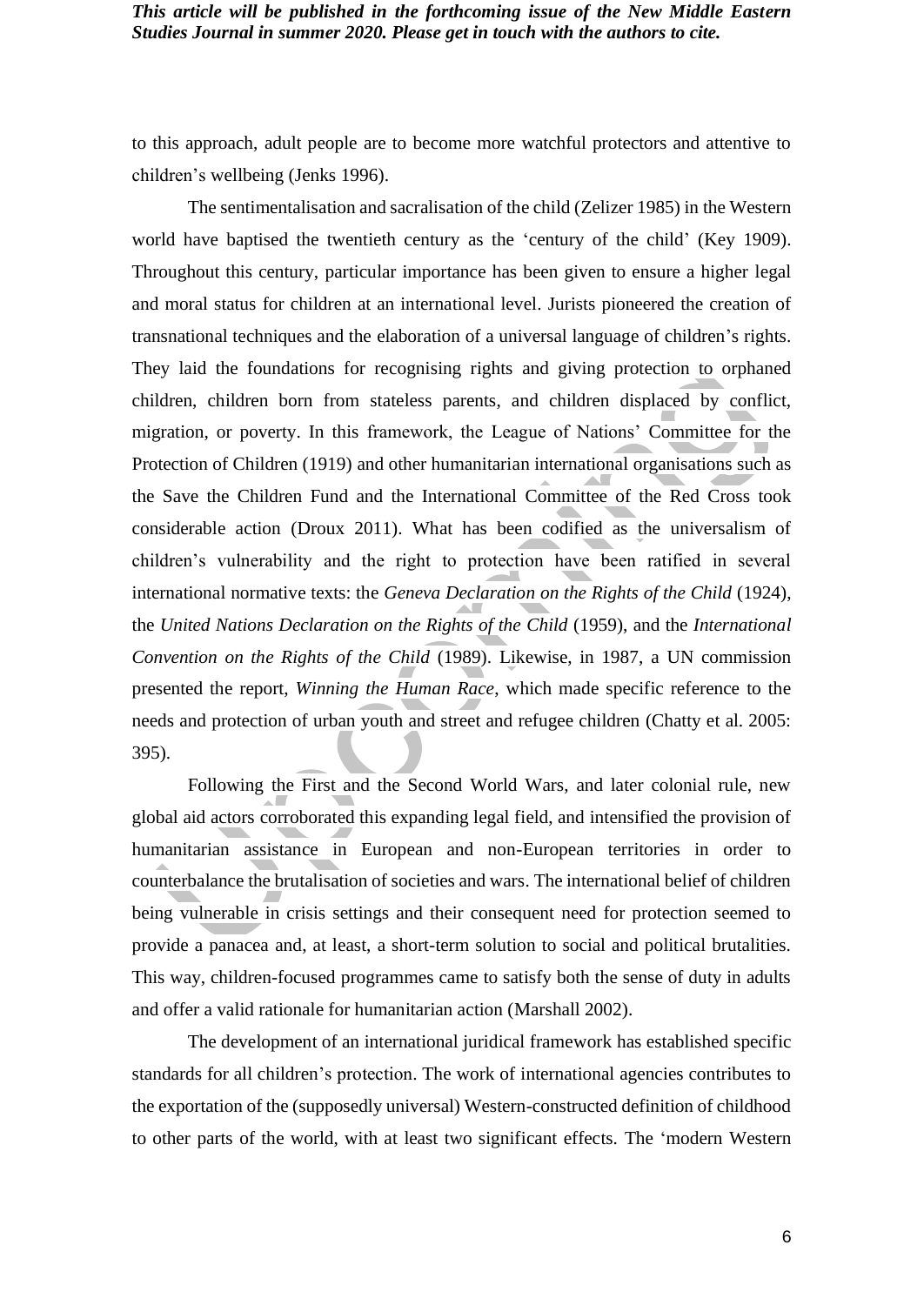to this approach, adult people are to become more watchful protectors and attentive to children's wellbeing (Jenks 1996).

The sentimentalisation and sacralisation of the child (Zelizer 1985) in the Western world have baptised the twentieth century as the 'century of the child' (Key 1909). Throughout this century, particular importance has been given to ensure a higher legal and moral status for children at an international level. Jurists pioneered the creation of transnational techniques and the elaboration of a universal language of children's rights. They laid the foundations for recognising rights and giving protection to orphaned children, children born from stateless parents, and children displaced by conflict, migration, or poverty. In this framework, the League of Nations' Committee for the Protection of Children (1919) and other humanitarian international organisations such as the Save the Children Fund and the International Committee of the Red Cross took considerable action (Droux 2011). What has been codified as the universalism of children's vulnerability and the right to protection have been ratified in several international normative texts: the *Geneva Declaration on the Rights of the Child* (1924), the *United Nations Declaration on the Rights of the Child* (1959), and the *International Convention on the Rights of the Child* (1989). Likewise, in 1987, a UN commission presented the report, *Winning the Human Race*, which made specific reference to the needs and protection of urban youth and street and refugee children (Chatty et al. 2005: 395).

Following the First and the Second World Wars, and later colonial rule, new global aid actors corroborated this expanding legal field, and intensified the provision of humanitarian assistance in European and non-European territories in order to counterbalance the brutalisation of societies and wars. The international belief of children being vulnerable in crisis settings and their consequent need for protection seemed to provide a panacea and, at least, a short-term solution to social and political brutalities. This way, children-focused programmes came to satisfy both the sense of duty in adults and offer a valid rationale for humanitarian action (Marshall 2002).

The development of an international juridical framework has established specific standards for all children's protection. The work of international agencies contributes to the exportation of the (supposedly universal) Western-constructed definition of childhood to other parts of the world, with at least two significant effects. The 'modern Western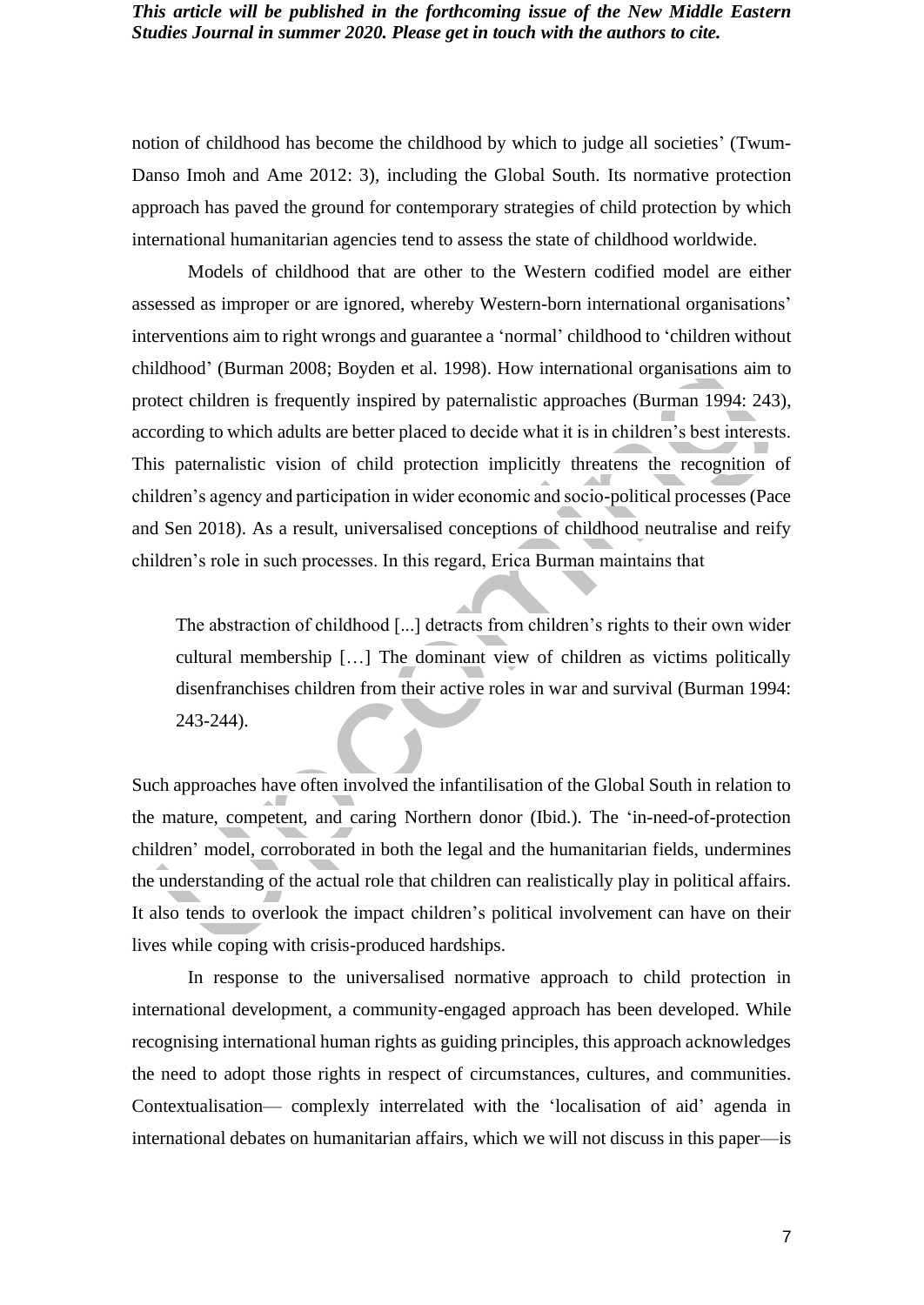notion of childhood has become the childhood by which to judge all societies' (Twum-Danso Imoh and Ame 2012: 3), including the Global South. Its normative protection approach has paved the ground for contemporary strategies of child protection by which international humanitarian agencies tend to assess the state of childhood worldwide.

Models of childhood that are other to the Western codified model are either assessed as improper or are ignored, whereby Western-born international organisations' interventions aim to right wrongs and guarantee a 'normal' childhood to 'children without childhood' (Burman 2008; Boyden et al. 1998). How international organisations aim to protect children is frequently inspired by paternalistic approaches (Burman 1994: 243), according to which adults are better placed to decide what it is in children's best interests. This paternalistic vision of child protection implicitly threatens the recognition of children's agency and participation in wider economic and socio-political processes (Pace and Sen 2018). As a result, universalised conceptions of childhood neutralise and reify children's role in such processes. In this regard, Erica Burman maintains that

The abstraction of childhood [...] detracts from children's rights to their own wider cultural membership […] The dominant view of children as victims politically disenfranchises children from their active roles in war and survival (Burman 1994: 243-244).

Such approaches have often involved the infantilisation of the Global South in relation to the mature, competent, and caring Northern donor (Ibid.). The 'in-need-of-protection children' model, corroborated in both the legal and the humanitarian fields, undermines the understanding of the actual role that children can realistically play in political affairs. It also tends to overlook the impact children's political involvement can have on their lives while coping with crisis-produced hardships.

In response to the universalised normative approach to child protection in international development, a community-engaged approach has been developed. While recognising international human rights as guiding principles, this approach acknowledges the need to adopt those rights in respect of circumstances, cultures, and communities. Contextualisation— complexly interrelated with the 'localisation of aid' agenda in international debates on humanitarian affairs, which we will not discuss in this paper—is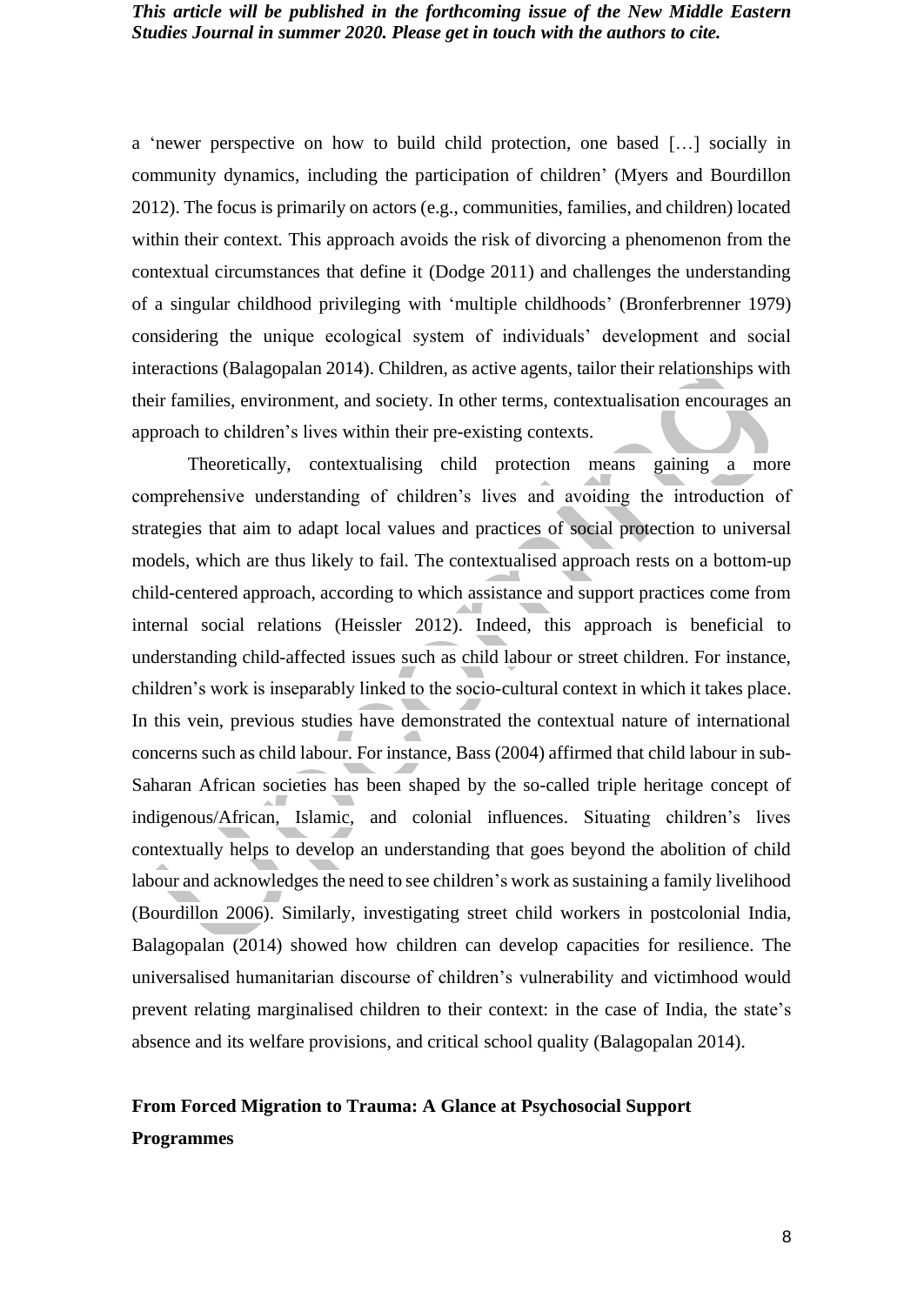a 'newer perspective on how to build child protection, one based […] socially in community dynamics, including the participation of children' (Myers and Bourdillon 2012). The focus is primarily on actors (e.g., communities, families, and children) located within their context*.* This approach avoids the risk of divorcing a phenomenon from the contextual circumstances that define it (Dodge 2011) and challenges the understanding of a singular childhood privileging with 'multiple childhoods' (Bronferbrenner 1979) considering the unique ecological system of individuals' development and social interactions (Balagopalan 2014). Children, as active agents, tailor their relationships with their families, environment, and society. In other terms, contextualisation encourages an approach to children's lives within their pre-existing contexts.

Theoretically, contextualising child protection means gaining a more comprehensive understanding of children's lives and avoiding the introduction of strategies that aim to adapt local values and practices of social protection to universal models, which are thus likely to fail. The contextualised approach rests on a bottom-up child-centered approach, according to which assistance and support practices come from internal social relations (Heissler 2012). Indeed, this approach is beneficial to understanding child-affected issues such as child labour or street children. For instance, children's work is inseparably linked to the socio-cultural context in which it takes place. In this vein, previous studies have demonstrated the contextual nature of international concerns such as child labour. For instance, Bass (2004) affirmed that child labour in sub-Saharan African societies has been shaped by the so-called triple heritage concept of indigenous/African, Islamic, and colonial influences. Situating children's lives contextually helps to develop an understanding that goes beyond the abolition of child labour and acknowledges the need to see children's work as sustaining a family livelihood (Bourdillon 2006). Similarly, investigating street child workers in postcolonial India, Balagopalan (2014) showed how children can develop capacities for resilience. The universalised humanitarian discourse of children's vulnerability and victimhood would prevent relating marginalised children to their context: in the case of India, the state's absence and its welfare provisions, and critical school quality (Balagopalan 2014).

# **From Forced Migration to Trauma: A Glance at Psychosocial Support Programmes**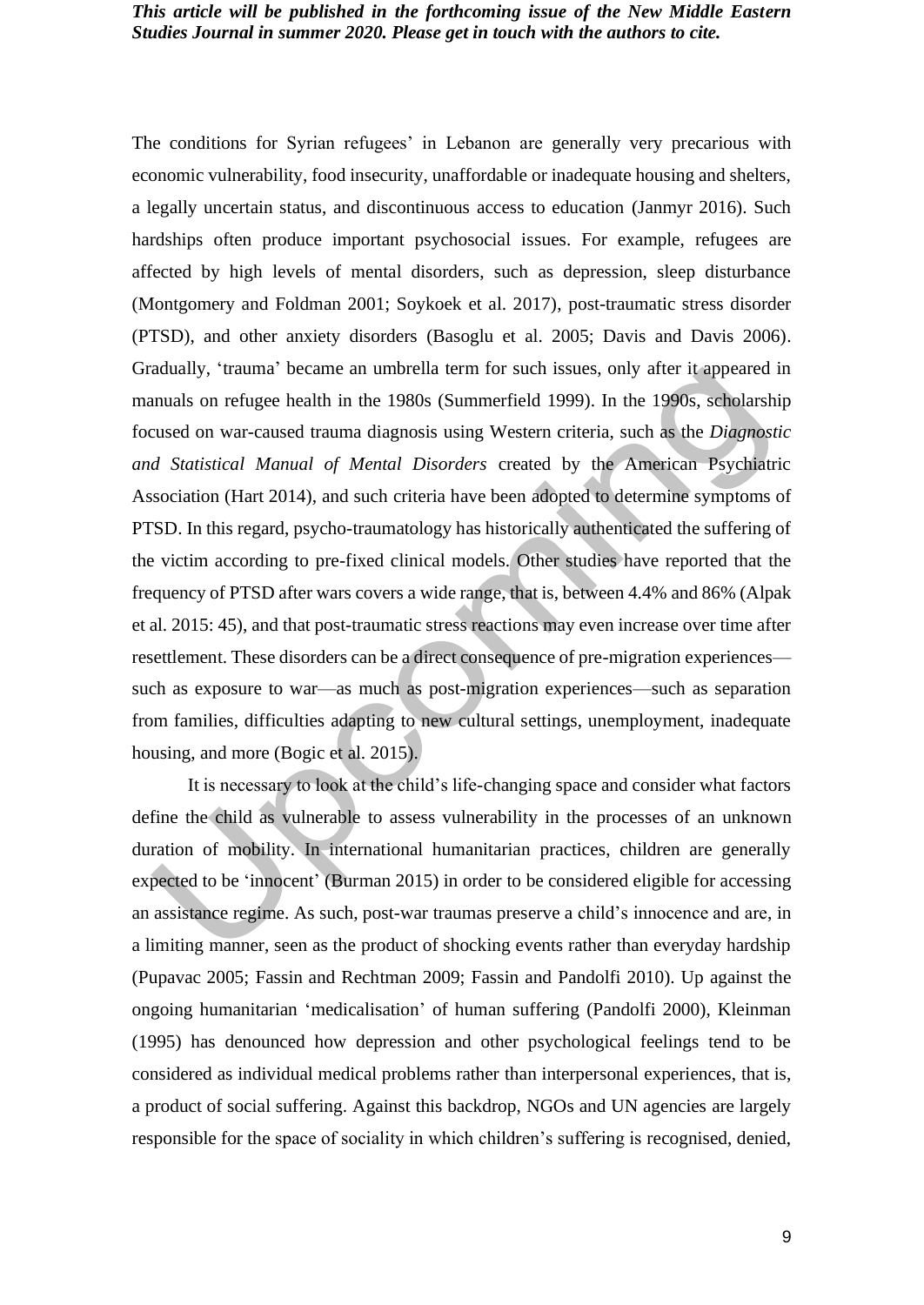The conditions for Syrian refugees' in Lebanon are generally very precarious with economic vulnerability, food insecurity, unaffordable or inadequate housing and shelters, a legally uncertain status, and discontinuous access to education (Janmyr 2016). Such hardships often produce important psychosocial issues. For example, refugees are affected by high levels of mental disorders, such as depression, sleep disturbance (Montgomery and Foldman 2001; Soykoek et al. 2017), post-traumatic stress disorder (PTSD), and other anxiety disorders (Basoglu et al. 2005; Davis and Davis 2006). Gradually, 'trauma' became an umbrella term for such issues, only after it appeared in manuals on refugee health in the 1980s (Summerfield 1999). In the 1990s, scholarship focused on war-caused trauma diagnosis using Western criteria, such as the *Diagnostic and Statistical Manual of Mental Disorders* created by the American Psychiatric Association (Hart 2014), and such criteria have been adopted to determine symptoms of PTSD. In this regard, psycho-traumatology has historically authenticated the suffering of the victim according to pre-fixed clinical models. Other studies have reported that the frequency of PTSD after wars covers a wide range, that is, between 4.4% and 86% (Alpak et al. 2015: 45), and that post-traumatic stress reactions may even increase over time after resettlement. These disorders can be a direct consequence of pre-migration experiences such as exposure to war—as much as post-migration experiences—such as separation from families, difficulties adapting to new cultural settings, unemployment, inadequate housing, and more (Bogic et al. 2015).

It is necessary to look at the child's life-changing space and consider what factors define the child as vulnerable to assess vulnerability in the processes of an unknown duration of mobility. In international humanitarian practices, children are generally expected to be 'innocent' (Burman 2015) in order to be considered eligible for accessing an assistance regime. As such, post-war traumas preserve a child's innocence and are, in a limiting manner, seen as the product of shocking events rather than everyday hardship (Pupavac 2005; Fassin and Rechtman 2009; Fassin and Pandolfi 2010). Up against the ongoing humanitarian 'medicalisation' of human suffering (Pandolfi 2000), Kleinman (1995) has denounced how depression and other psychological feelings tend to be considered as individual medical problems rather than interpersonal experiences, that is, a product of social suffering. Against this backdrop, NGOs and UN agencies are largely responsible for the space of sociality in which children's suffering is recognised, denied,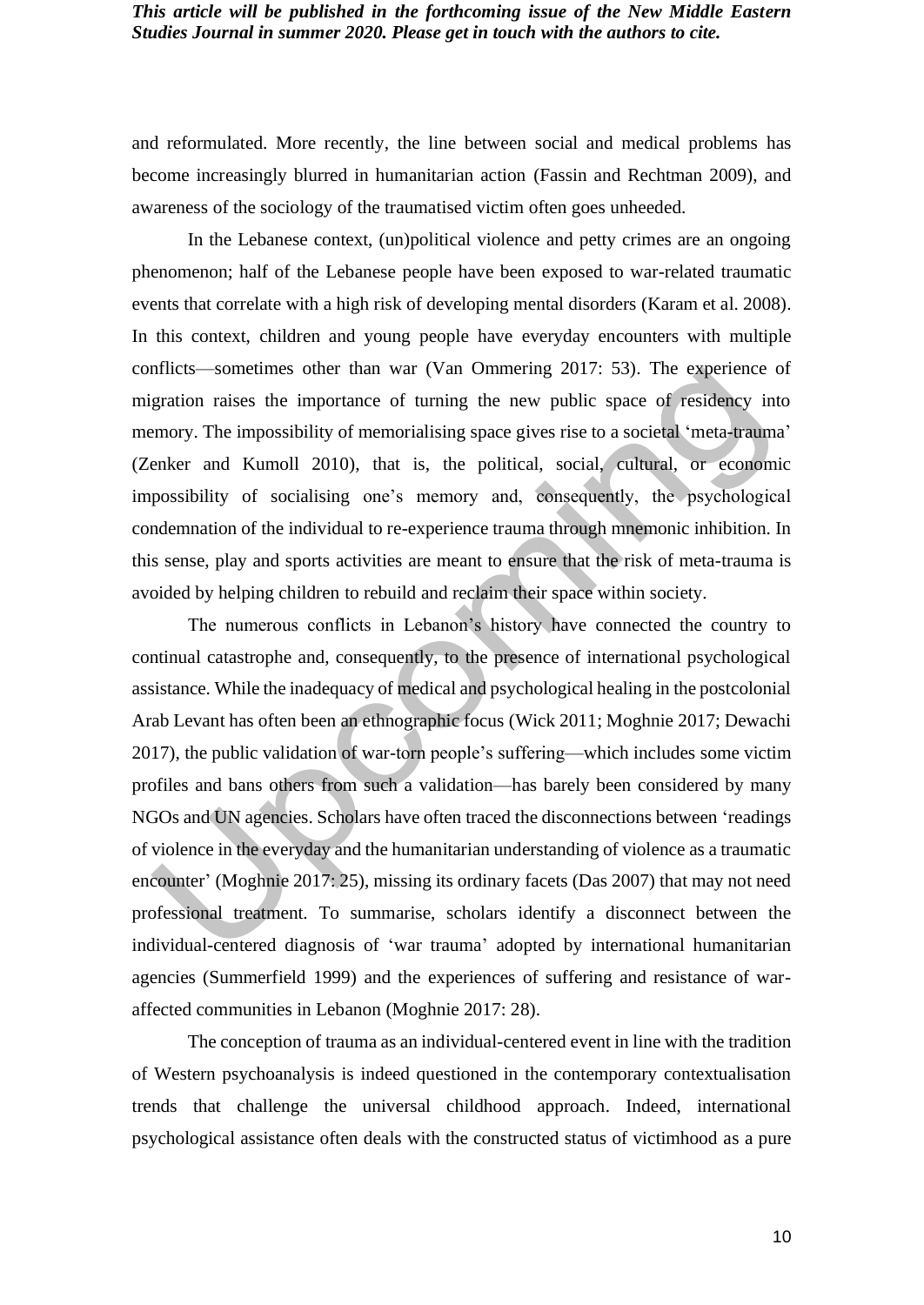and reformulated. More recently, the line between social and medical problems has become increasingly blurred in humanitarian action (Fassin and Rechtman 2009), and awareness of the sociology of the traumatised victim often goes unheeded.

In the Lebanese context, (un)political violence and petty crimes are an ongoing phenomenon; half of the Lebanese people have been exposed to war-related traumatic events that correlate with a high risk of developing mental disorders (Karam et al. 2008). In this context, children and young people have everyday encounters with multiple conflicts—sometimes other than war (Van Ommering 2017: 53). The experience of migration raises the importance of turning the new public space of residency into memory. The impossibility of memorialising space gives rise to a societal 'meta-trauma' (Zenker and Kumoll 2010), that is, the political, social, cultural, or economic impossibility of socialising one's memory and, consequently, the psychological condemnation of the individual to re-experience trauma through mnemonic inhibition. In this sense, play and sports activities are meant to ensure that the risk of meta-trauma is avoided by helping children to rebuild and reclaim their space within society.

The numerous conflicts in Lebanon's history have connected the country to continual catastrophe and, consequently, to the presence of international psychological assistance. While the inadequacy of medical and psychological healing in the postcolonial Arab Levant has often been an ethnographic focus (Wick 2011; Moghnie 2017; Dewachi 2017), the public validation of war-torn people's suffering—which includes some victim profiles and bans others from such a validation—has barely been considered by many NGOs and UN agencies. Scholars have often traced the disconnections between 'readings of violence in the everyday and the humanitarian understanding of violence as a traumatic encounter' (Moghnie 2017: 25), missing its ordinary facets (Das 2007) that may not need professional treatment. To summarise, scholars identify a disconnect between the individual-centered diagnosis of 'war trauma' adopted by international humanitarian agencies (Summerfield 1999) and the experiences of suffering and resistance of waraffected communities in Lebanon (Moghnie 2017: 28).

The conception of trauma as an individual-centered event in line with the tradition of Western psychoanalysis is indeed questioned in the contemporary contextualisation trends that challenge the universal childhood approach. Indeed, international psychological assistance often deals with the constructed status of victimhood as a pure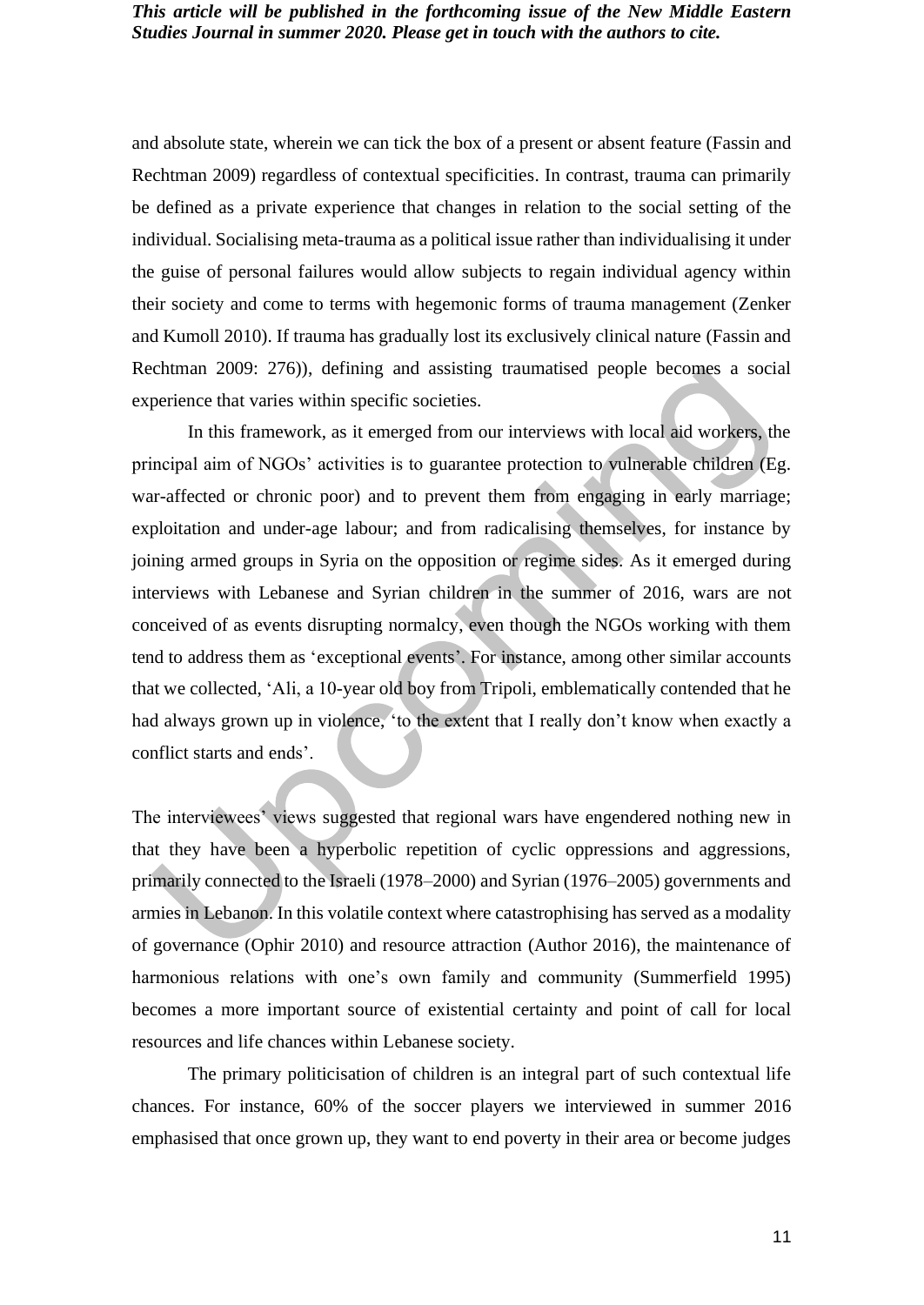and absolute state, wherein we can tick the box of a present or absent feature (Fassin and Rechtman 2009) regardless of contextual specificities. In contrast, trauma can primarily be defined as a private experience that changes in relation to the social setting of the individual. Socialising meta-trauma as a political issue rather than individualising it under the guise of personal failures would allow subjects to regain individual agency within their society and come to terms with hegemonic forms of trauma management (Zenker and Kumoll 2010). If trauma has gradually lost its exclusively clinical nature (Fassin and Rechtman 2009: 276)), defining and assisting traumatised people becomes a social experience that varies within specific societies.

In this framework, as it emerged from our interviews with local aid workers, the principal aim of NGOs' activities is to guarantee protection to vulnerable children (Eg. war-affected or chronic poor) and to prevent them from engaging in early marriage; exploitation and under-age labour; and from radicalising themselves, for instance by joining armed groups in Syria on the opposition or regime sides. As it emerged during interviews with Lebanese and Syrian children in the summer of 2016, wars are not conceived of as events disrupting normalcy, even though the NGOs working with them tend to address them as 'exceptional events'. For instance, among other similar accounts that we collected, 'Ali, a 10-year old boy from Tripoli, emblematically contended that he had always grown up in violence, 'to the extent that I really don't know when exactly a conflict starts and ends'.

The interviewees' views suggested that regional wars have engendered nothing new in that they have been a hyperbolic repetition of cyclic oppressions and aggressions, primarily connected to the Israeli (1978–2000) and Syrian (1976–2005) governments and armies in Lebanon. In this volatile context where catastrophising has served as a modality of governance (Ophir 2010) and resource attraction (Author 2016), the maintenance of harmonious relations with one's own family and community (Summerfield 1995) becomes a more important source of existential certainty and point of call for local resources and life chances within Lebanese society.

The primary politicisation of children is an integral part of such contextual life chances. For instance, 60% of the soccer players we interviewed in summer 2016 emphasised that once grown up, they want to end poverty in their area or become judges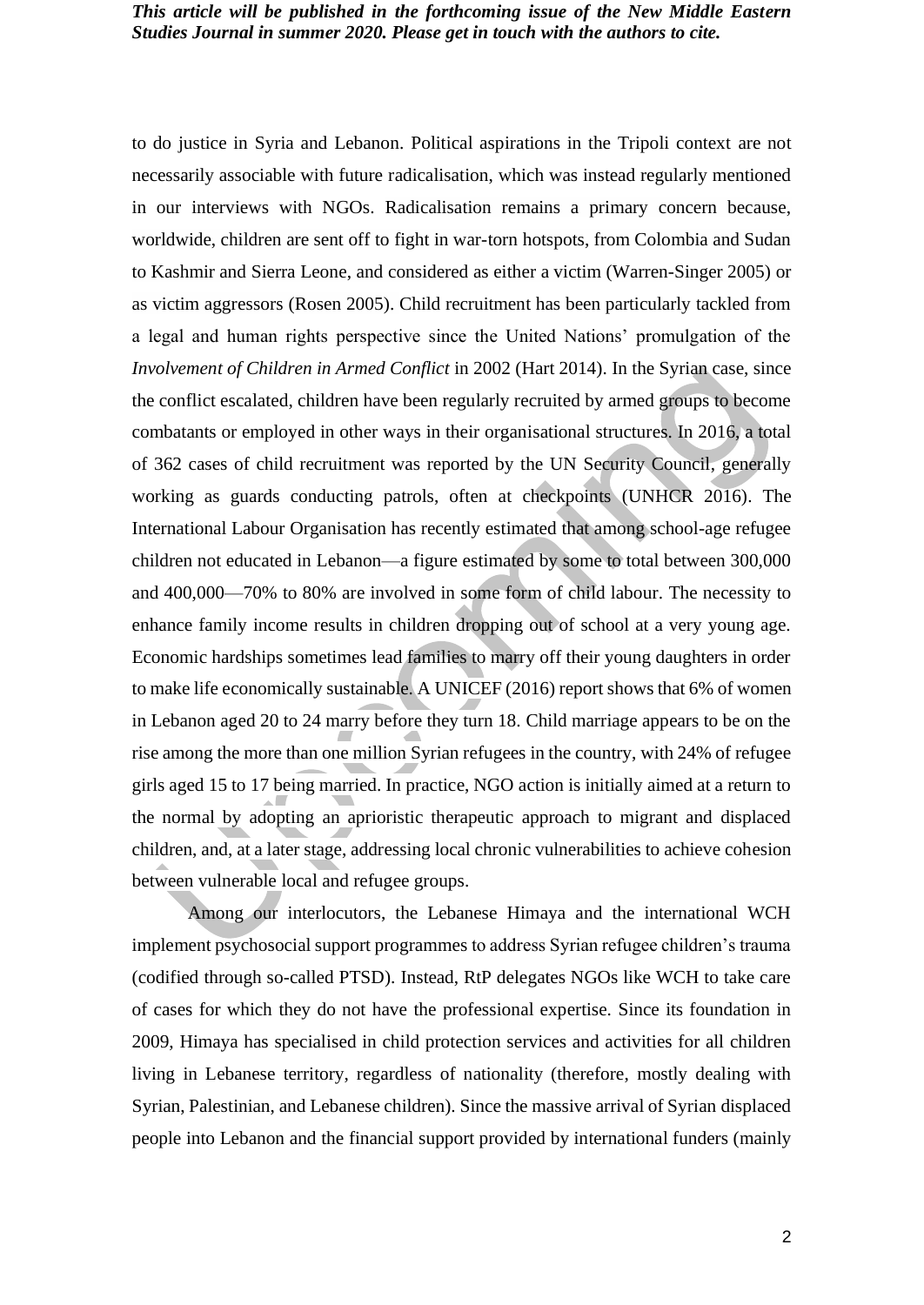to do justice in Syria and Lebanon. Political aspirations in the Tripoli context are not necessarily associable with future radicalisation, which was instead regularly mentioned in our interviews with NGOs. Radicalisation remains a primary concern because, worldwide, children are sent off to fight in war-torn hotspots, from Colombia and Sudan to Kashmir and Sierra Leone, and considered as either a victim (Warren-Singer 2005) or as victim aggressors (Rosen 2005). Child recruitment has been particularly tackled from a legal and human rights perspective since the United Nations' promulgation of the *Involvement of Children in Armed Conflict* in 2002 (Hart 2014). In the Syrian case, since the conflict escalated, children have been regularly recruited by armed groups to become combatants or employed in other ways in their organisational structures. In 2016, a total of 362 cases of child recruitment was reported by the UN Security Council, generally working as guards conducting patrols, often at checkpoints (UNHCR 2016). The International Labour Organisation has recently estimated that among school-age refugee children not educated in Lebanon—a figure estimated by some to total between 300,000 and 400,000—70% to 80% are involved in some form of child labour. The necessity to enhance family income results in children dropping out of school at a very young age. Economic hardships sometimes lead families to marry off their young daughters in order to make life economically sustainable. A UNICEF (2016) report shows that 6% of women in Lebanon aged 20 to 24 marry before they turn 18. Child marriage appears to be on the rise among the more than one million Syrian refugees in the country, with 24% of refugee girls aged 15 to 17 being married. In practice, NGO action is initially aimed at a return to the normal by adopting an aprioristic therapeutic approach to migrant and displaced children, and, at a later stage, addressing local chronic vulnerabilities to achieve cohesion between vulnerable local and refugee groups.

Among our interlocutors, the Lebanese Himaya and the international WCH implement psychosocial support programmes to address Syrian refugee children's trauma (codified through so-called PTSD). Instead, RtP delegates NGOs like WCH to take care of cases for which they do not have the professional expertise. Since its foundation in 2009, Himaya has specialised in child protection services and activities for all children living in Lebanese territory, regardless of nationality (therefore, mostly dealing with Syrian, Palestinian, and Lebanese children). Since the massive arrival of Syrian displaced people into Lebanon and the financial support provided by international funders (mainly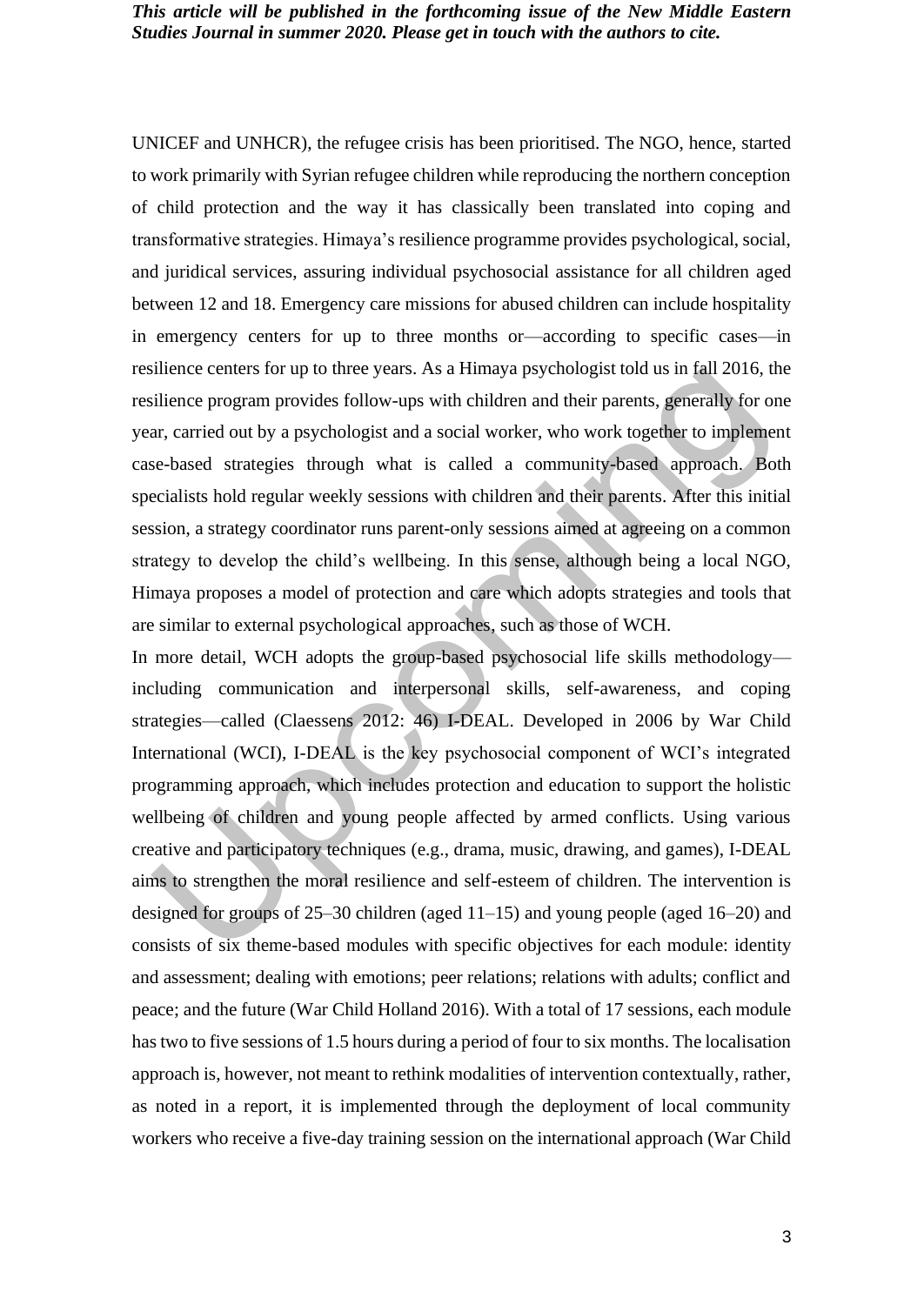UNICEF and UNHCR), the refugee crisis has been prioritised. The NGO, hence, started to work primarily with Syrian refugee children while reproducing the northern conception of child protection and the way it has classically been translated into coping and transformative strategies. Himaya's resilience programme provides psychological, social, and juridical services, assuring individual psychosocial assistance for all children aged between 12 and 18. Emergency care missions for abused children can include hospitality in emergency centers for up to three months or—according to specific cases—in resilience centers for up to three years. As a Himaya psychologist told us in fall 2016, the resilience program provides follow-ups with children and their parents, generally for one year, carried out by a psychologist and a social worker, who work together to implement case-based strategies through what is called a community-based approach. Both specialists hold regular weekly sessions with children and their parents. After this initial session, a strategy coordinator runs parent-only sessions aimed at agreeing on a common strategy to develop the child's wellbeing. In this sense, although being a local NGO, Himaya proposes a model of protection and care which adopts strategies and tools that are similar to external psychological approaches, such as those of WCH.

In more detail, WCH adopts the group-based psychosocial life skills methodology including communication and interpersonal skills, self-awareness, and coping strategies—called (Claessens 2012: 46) I-DEAL. Developed in 2006 by War Child International (WCI), I-DEAL is the key psychosocial component of WCI's integrated programming approach, which includes protection and education to support the holistic wellbeing of children and young people affected by armed conflicts. Using various creative and participatory techniques (e.g., drama, music, drawing, and games), I-DEAL aims to strengthen the moral resilience and self-esteem of children. The intervention is designed for groups of 25–30 children (aged 11–15) and young people (aged 16–20) and consists of six theme-based modules with specific objectives for each module: identity and assessment; dealing with emotions; peer relations; relations with adults; conflict and peace; and the future (War Child Holland 2016). With a total of 17 sessions, each module has two to five sessions of 1.5 hours during a period of four to six months. The localisation approach is, however, not meant to rethink modalities of intervention contextually, rather, as noted in a report, it is implemented through the deployment of local community workers who receive a five-day training session on the international approach (War Child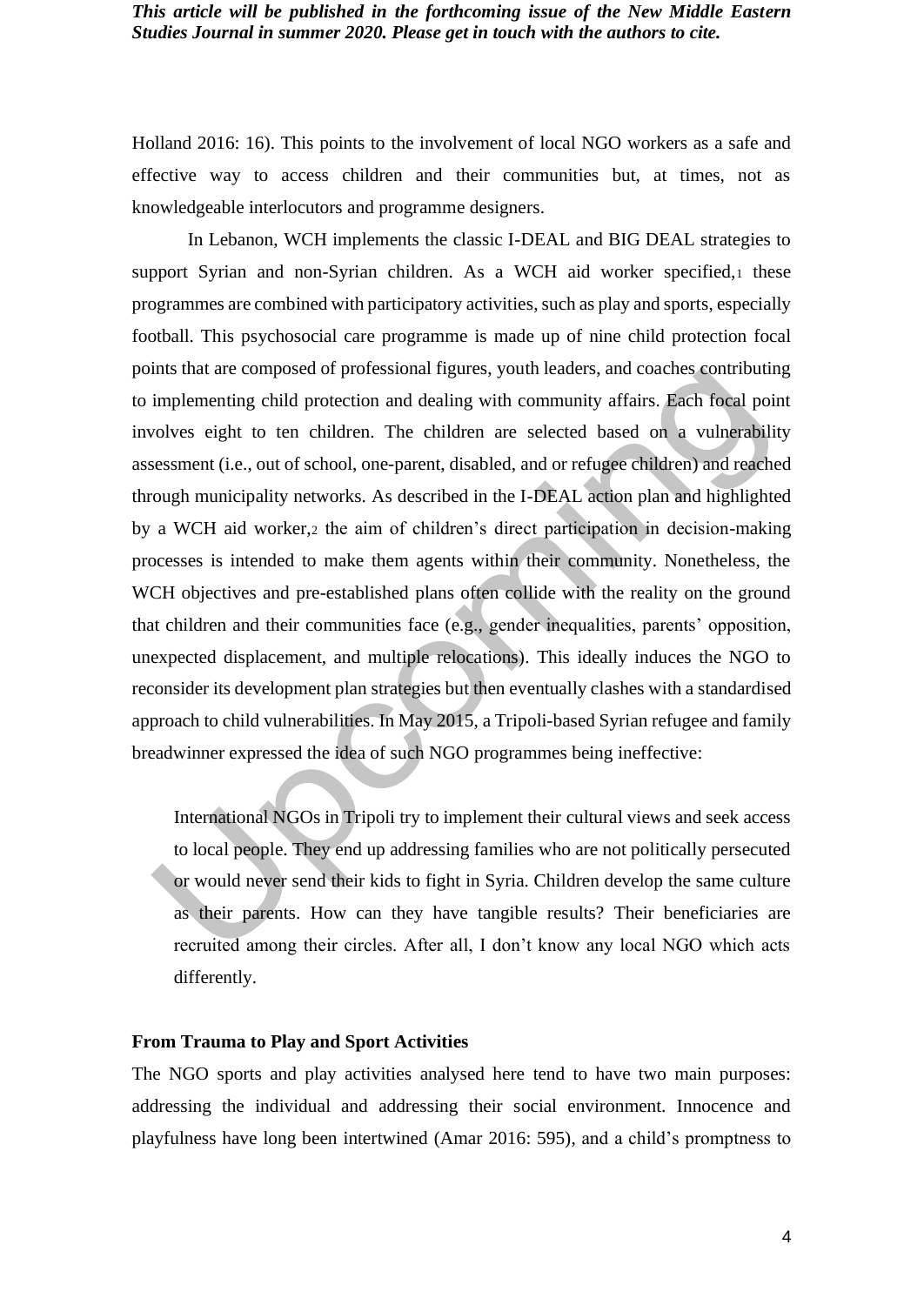Holland 2016: 16). This points to the involvement of local NGO workers as a safe and effective way to access children and their communities but, at times, not as knowledgeable interlocutors and programme designers.

In Lebanon, WCH implements the classic I-DEAL and BIG DEAL strategies to support Syrian and non-Syrian children. As a WCH aid worker specified, these programmes are combined with participatory activities, such as play and sports, especially football. This psychosocial care programme is made up of nine child protection focal points that are composed of professional figures, youth leaders, and coaches contributing to implementing child protection and dealing with community affairs. Each focal point involves eight to ten children. The children are selected based on a vulnerability assessment (i.e., out of school, one-parent, disabled, and or refugee children) and reached through municipality networks. As described in the I-DEAL action plan and highlighted by a WCH aid worker,<sup>2</sup> the aim of children's direct participation in decision-making processes is intended to make them agents within their community. Nonetheless, the WCH objectives and pre-established plans often collide with the reality on the ground that children and their communities face (e.g., gender inequalities, parents' opposition, unexpected displacement, and multiple relocations). This ideally induces the NGO to reconsider its development plan strategies but then eventually clashes with a standardised approach to child vulnerabilities. In May 2015, a Tripoli-based Syrian refugee and family breadwinner expressed the idea of such NGO programmes being ineffective:

International NGOs in Tripoli try to implement their cultural views and seek access to local people. They end up addressing families who are not politically persecuted or would never send their kids to fight in Syria. Children develop the same culture as their parents. How can they have tangible results? Their beneficiaries are recruited among their circles. After all, I don't know any local NGO which acts differently.

#### **From Trauma to Play and Sport Activities**

The NGO sports and play activities analysed here tend to have two main purposes: addressing the individual and addressing their social environment. Innocence and playfulness have long been intertwined (Amar 2016: 595), and a child's promptness to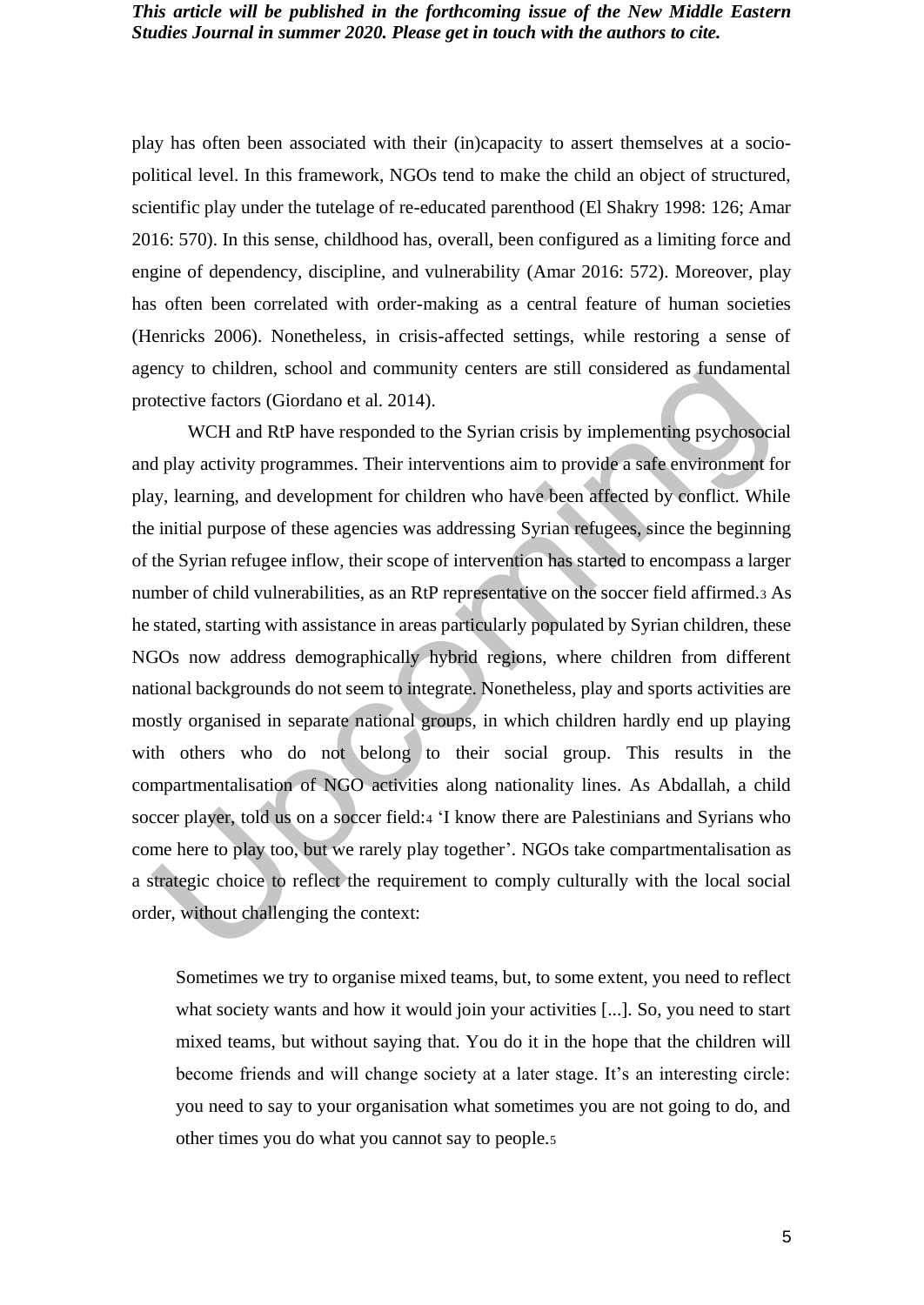play has often been associated with their (in)capacity to assert themselves at a sociopolitical level. In this framework, NGOs tend to make the child an object of structured, scientific play under the tutelage of re-educated parenthood (El Shakry 1998: 126; Amar 2016: 570). In this sense, childhood has, overall, been configured as a limiting force and engine of dependency, discipline, and vulnerability (Amar 2016: 572). Moreover, play has often been correlated with order-making as a central feature of human societies (Henricks 2006). Nonetheless, in crisis-affected settings, while restoring a sense of agency to children, school and community centers are still considered as fundamental protective factors (Giordano et al. 2014).

WCH and RtP have responded to the Syrian crisis by implementing psychosocial and play activity programmes. Their interventions aim to provide a safe environment for play, learning, and development for children who have been affected by conflict. While the initial purpose of these agencies was addressing Syrian refugees, since the beginning of the Syrian refugee inflow, their scope of intervention has started to encompass a larger number of child vulnerabilities, as an RtP representative on the soccer field affirmed.<sup>3</sup> As he stated, starting with assistance in areas particularly populated by Syrian children, these NGOs now address demographically hybrid regions, where children from different national backgrounds do not seem to integrate. Nonetheless, play and sports activities are mostly organised in separate national groups, in which children hardly end up playing with others who do not belong to their social group. This results in the compartmentalisation of NGO activities along nationality lines. As Abdallah, a child soccer player, told us on a soccer field:<sup>4</sup> 'I know there are Palestinians and Syrians who come here to play too, but we rarely play together'. NGOs take compartmentalisation as a strategic choice to reflect the requirement to comply culturally with the local social order, without challenging the context:

Sometimes we try to organise mixed teams, but, to some extent, you need to reflect what society wants and how it would join your activities [...]. So, you need to start mixed teams, but without saying that. You do it in the hope that the children will become friends and will change society at a later stage. It's an interesting circle: you need to say to your organisation what sometimes you are not going to do, and other times you do what you cannot say to people.5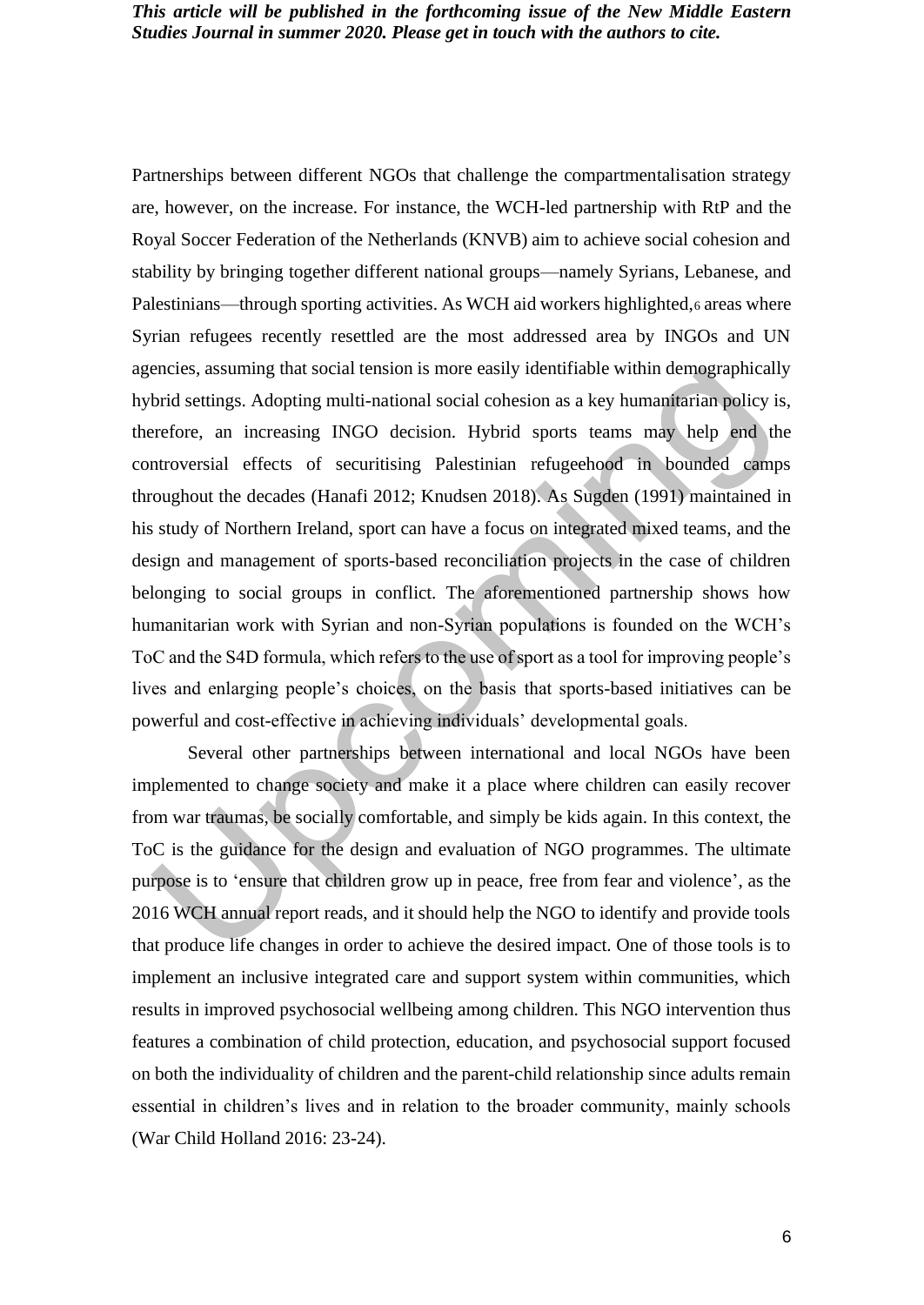Partnerships between different NGOs that challenge the compartmentalisation strategy are, however, on the increase. For instance, the WCH-led partnership with RtP and the Royal Soccer Federation of the Netherlands (KNVB) aim to achieve social cohesion and stability by bringing together different national groups—namely Syrians, Lebanese, and Palestinians—through sporting activities. As WCH aid workers highlighted,6 areas where Syrian refugees recently resettled are the most addressed area by INGOs and UN agencies, assuming that social tension is more easily identifiable within demographically hybrid settings. Adopting multi-national social cohesion as a key humanitarian policy is, therefore, an increasing INGO decision. Hybrid sports teams may help end the controversial effects of securitising Palestinian refugeehood in bounded camps throughout the decades (Hanafi 2012; Knudsen 2018). As Sugden (1991) maintained in his study of Northern Ireland, sport can have a focus on integrated mixed teams, and the design and management of sports-based reconciliation projects in the case of children belonging to social groups in conflict. The aforementioned partnership shows how humanitarian work with Syrian and non-Syrian populations is founded on the WCH's ToC and the S4D formula, which refers to the use of sport as a tool for improving people's lives and enlarging people's choices, on the basis that sports-based initiatives can be powerful and cost-effective in achieving individuals' developmental goals.

Several other partnerships between international and local NGOs have been implemented to change society and make it a place where children can easily recover from war traumas, be socially comfortable, and simply be kids again. In this context, the ToC is the guidance for the design and evaluation of NGO programmes. The ultimate purpose is to 'ensure that children grow up in peace, free from fear and violence', as the 2016 WCH annual report reads, and it should help the NGO to identify and provide tools that produce life changes in order to achieve the desired impact. One of those tools is to implement an inclusive integrated care and support system within communities, which results in improved psychosocial wellbeing among children. This NGO intervention thus features a combination of child protection, education, and psychosocial support focused on both the individuality of children and the parent-child relationship since adults remain essential in children's lives and in relation to the broader community, mainly schools (War Child Holland 2016: 23-24).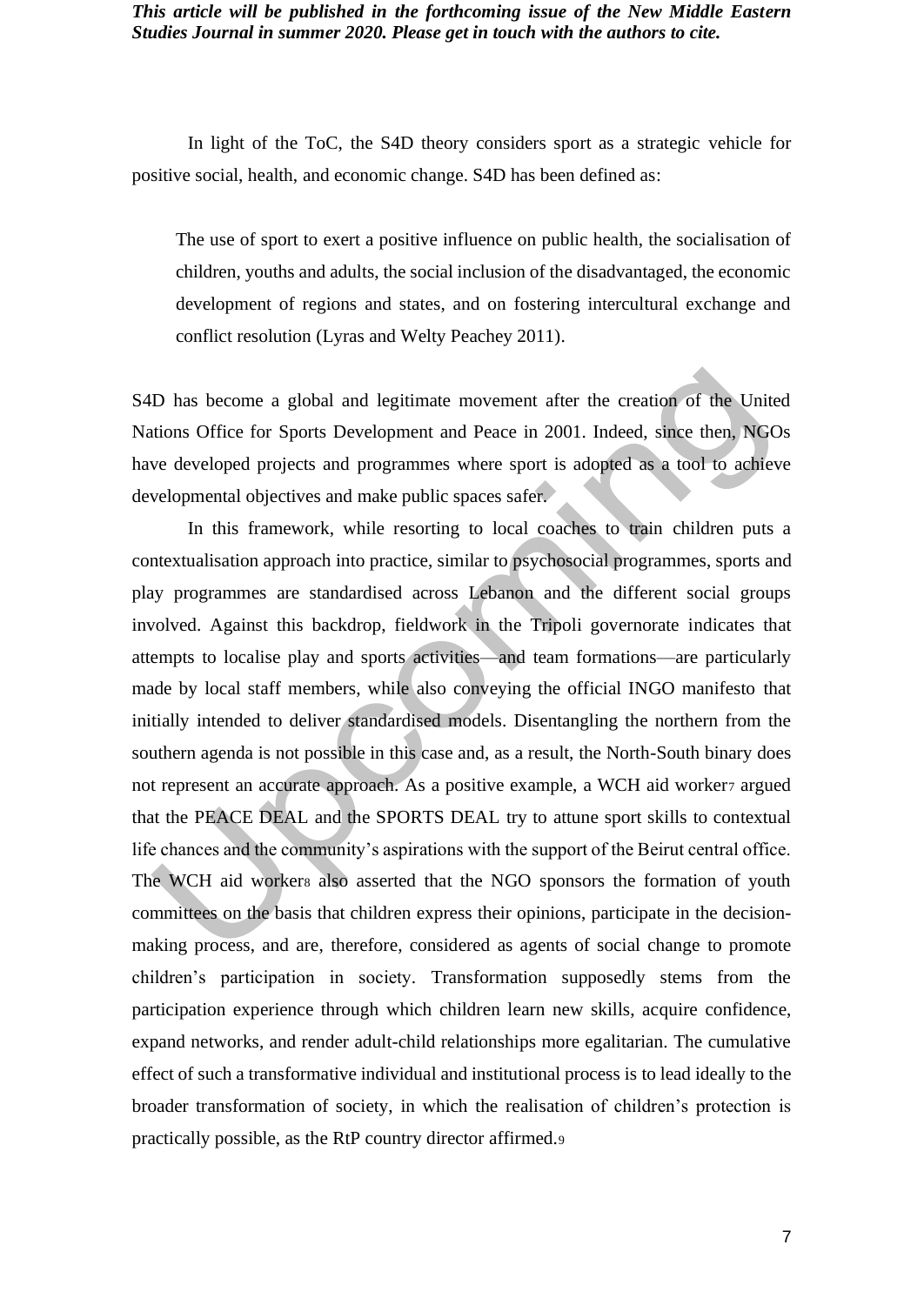In light of the ToC, the S4D theory considers sport as a strategic vehicle for positive social, health, and economic change. S4D has been defined as:

The use of sport to exert a positive influence on public health, the socialisation of children, youths and adults, the social inclusion of the disadvantaged, the economic development of regions and states, and on fostering intercultural exchange and conflict resolution (Lyras and Welty Peachey 2011).

S4D has become a global and legitimate movement after the creation of the United Nations Office for Sports Development and Peace in 2001. Indeed, since then, NGOs have developed projects and programmes where sport is adopted as a tool to achieve developmental objectives and make public spaces safer.

In this framework, while resorting to local coaches to train children puts a contextualisation approach into practice, similar to psychosocial programmes, sports and play programmes are standardised across Lebanon and the different social groups involved. Against this backdrop, fieldwork in the Tripoli governorate indicates that attempts to localise play and sports activities—and team formations—are particularly made by local staff members, while also conveying the official INGO manifesto that initially intended to deliver standardised models. Disentangling the northern from the southern agenda is not possible in this case and, as a result, the North-South binary does not represent an accurate approach. As a positive example, a WCH aid worker argued that the PEACE DEAL and the SPORTS DEAL try to attune sport skills to contextual life chances and the community's aspirations with the support of the Beirut central office. The WCH aid workers also asserted that the NGO sponsors the formation of youth committees on the basis that children express their opinions, participate in the decisionmaking process, and are, therefore, considered as agents of social change to promote children's participation in society. Transformation supposedly stems from the participation experience through which children learn new skills, acquire confidence, expand networks, and render adult-child relationships more egalitarian. The cumulative effect of such a transformative individual and institutional process is to lead ideally to the broader transformation of society, in which the realisation of children's protection is practically possible, as the RtP country director affirmed.9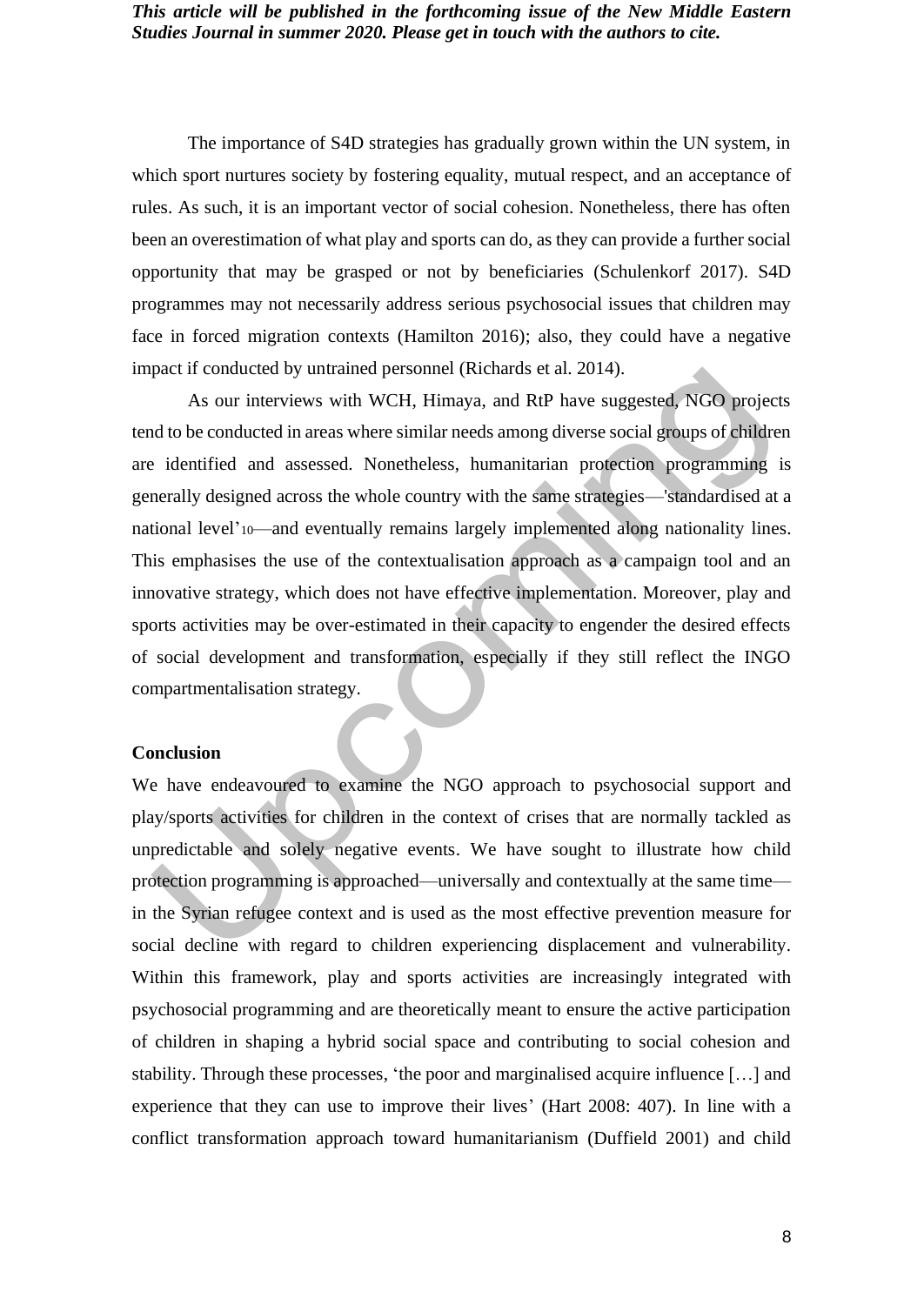The importance of S4D strategies has gradually grown within the UN system, in which sport nurtures society by fostering equality, mutual respect, and an acceptance of rules. As such, it is an important vector of social cohesion. Nonetheless, there has often been an overestimation of what play and sports can do, as they can provide a further social opportunity that may be grasped or not by beneficiaries (Schulenkorf 2017). S4D programmes may not necessarily address serious psychosocial issues that children may face in forced migration contexts (Hamilton 2016); also, they could have a negative impact if conducted by untrained personnel (Richards et al. 2014).

As our interviews with WCH, Himaya, and RtP have suggested, NGO projects tend to be conducted in areas where similar needs among diverse social groups of children are identified and assessed. Nonetheless, humanitarian protection programming is generally designed across the whole country with the same strategies—'standardised at a national level'<sub>10</sub>—and eventually remains largely implemented along nationality lines. This emphasises the use of the contextualisation approach as a campaign tool and an innovative strategy, which does not have effective implementation. Moreover, play and sports activities may be over-estimated in their capacity to engender the desired effects of social development and transformation, especially if they still reflect the INGO compartmentalisation strategy.

#### **Conclusion**

We have endeavoured to examine the NGO approach to psychosocial support and play/sports activities for children in the context of crises that are normally tackled as unpredictable and solely negative events. We have sought to illustrate how child protection programming is approached—universally and contextually at the same time in the Syrian refugee context and is used as the most effective prevention measure for social decline with regard to children experiencing displacement and vulnerability. Within this framework, play and sports activities are increasingly integrated with psychosocial programming and are theoretically meant to ensure the active participation of children in shaping a hybrid social space and contributing to social cohesion and stability. Through these processes, 'the poor and marginalised acquire influence […] and experience that they can use to improve their lives' (Hart 2008: 407). In line with a conflict transformation approach toward humanitarianism (Duffield 2001) and child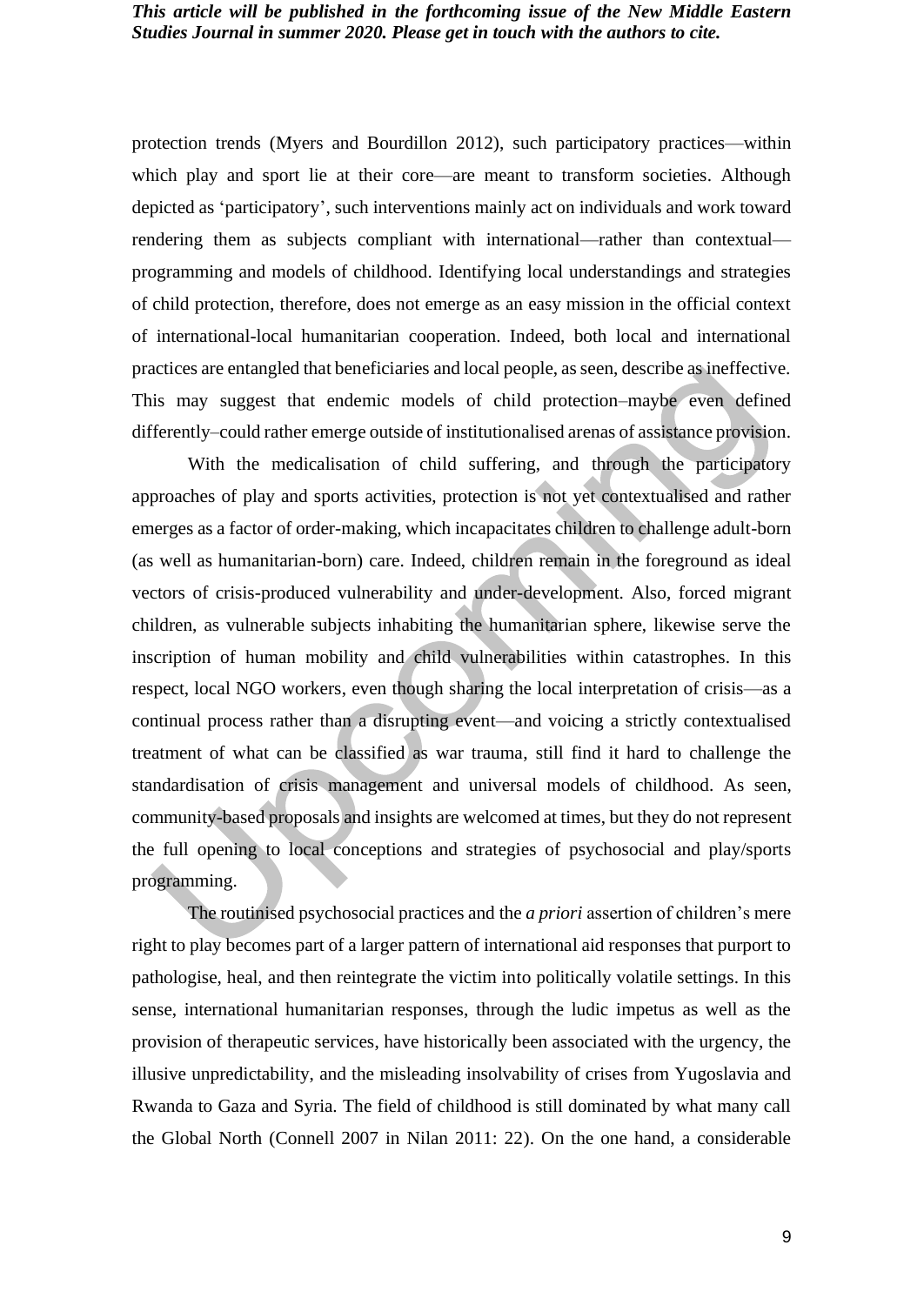protection trends (Myers and Bourdillon 2012), such participatory practices—within which play and sport lie at their core—are meant to transform societies. Although depicted as 'participatory', such interventions mainly act on individuals and work toward rendering them as subjects compliant with international—rather than contextual programming and models of childhood. Identifying local understandings and strategies of child protection, therefore, does not emerge as an easy mission in the official context of international-local humanitarian cooperation. Indeed, both local and international practices are entangled that beneficiaries and local people, as seen, describe as ineffective. This may suggest that endemic models of child protection–maybe even defined differently–could rather emerge outside of institutionalised arenas of assistance provision.

With the medicalisation of child suffering, and through the participatory approaches of play and sports activities, protection is not yet contextualised and rather emerges as a factor of order-making, which incapacitates children to challenge adult-born (as well as humanitarian-born) care. Indeed, children remain in the foreground as ideal vectors of crisis-produced vulnerability and under-development. Also, forced migrant children, as vulnerable subjects inhabiting the humanitarian sphere, likewise serve the inscription of human mobility and child vulnerabilities within catastrophes. In this respect, local NGO workers, even though sharing the local interpretation of crisis—as a continual process rather than a disrupting event—and voicing a strictly contextualised treatment of what can be classified as war trauma, still find it hard to challenge the standardisation of crisis management and universal models of childhood. As seen, community-based proposals and insights are welcomed at times, but they do not represent the full opening to local conceptions and strategies of psychosocial and play/sports programming.

The routinised psychosocial practices and the *a priori* assertion of children's mere right to play becomes part of a larger pattern of international aid responses that purport to pathologise, heal, and then reintegrate the victim into politically volatile settings. In this sense, international humanitarian responses, through the ludic impetus as well as the provision of therapeutic services, have historically been associated with the urgency, the illusive unpredictability, and the misleading insolvability of crises from Yugoslavia and Rwanda to Gaza and Syria. The field of childhood is still dominated by what many call the Global North (Connell 2007 in Nilan 2011: 22). On the one hand, a considerable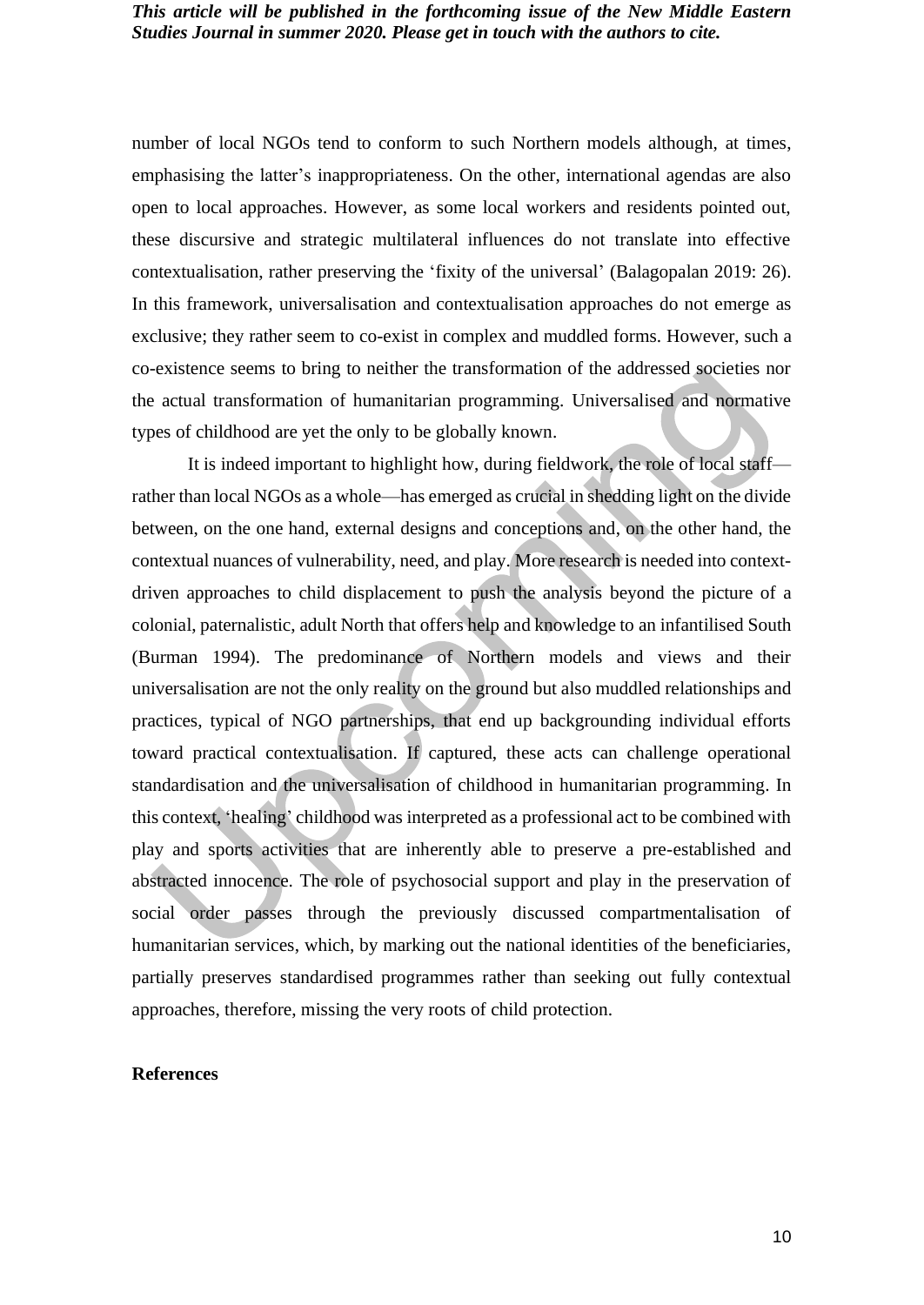number of local NGOs tend to conform to such Northern models although, at times, emphasising the latter's inappropriateness. On the other, international agendas are also open to local approaches. However, as some local workers and residents pointed out, these discursive and strategic multilateral influences do not translate into effective contextualisation, rather preserving the 'fixity of the universal' (Balagopalan 2019: 26). In this framework, universalisation and contextualisation approaches do not emerge as exclusive; they rather seem to co-exist in complex and muddled forms. However, such a co-existence seems to bring to neither the transformation of the addressed societies nor the actual transformation of humanitarian programming. Universalised and normative types of childhood are yet the only to be globally known.

It is indeed important to highlight how, during fieldwork, the role of local staff rather than local NGOs as a whole—has emerged as crucial in shedding light on the divide between, on the one hand, external designs and conceptions and, on the other hand, the contextual nuances of vulnerability, need, and play. More research is needed into contextdriven approaches to child displacement to push the analysis beyond the picture of a colonial, paternalistic, adult North that offers help and knowledge to an infantilised South (Burman 1994). The predominance of Northern models and views and their universalisation are not the only reality on the ground but also muddled relationships and practices, typical of NGO partnerships, that end up backgrounding individual efforts toward practical contextualisation. If captured, these acts can challenge operational standardisation and the universalisation of childhood in humanitarian programming. In this context, 'healing' childhood was interpreted as a professional act to be combined with play and sports activities that are inherently able to preserve a pre-established and abstracted innocence. The role of psychosocial support and play in the preservation of social order passes through the previously discussed compartmentalisation of humanitarian services, which, by marking out the national identities of the beneficiaries, partially preserves standardised programmes rather than seeking out fully contextual approaches, therefore, missing the very roots of child protection.

#### **References**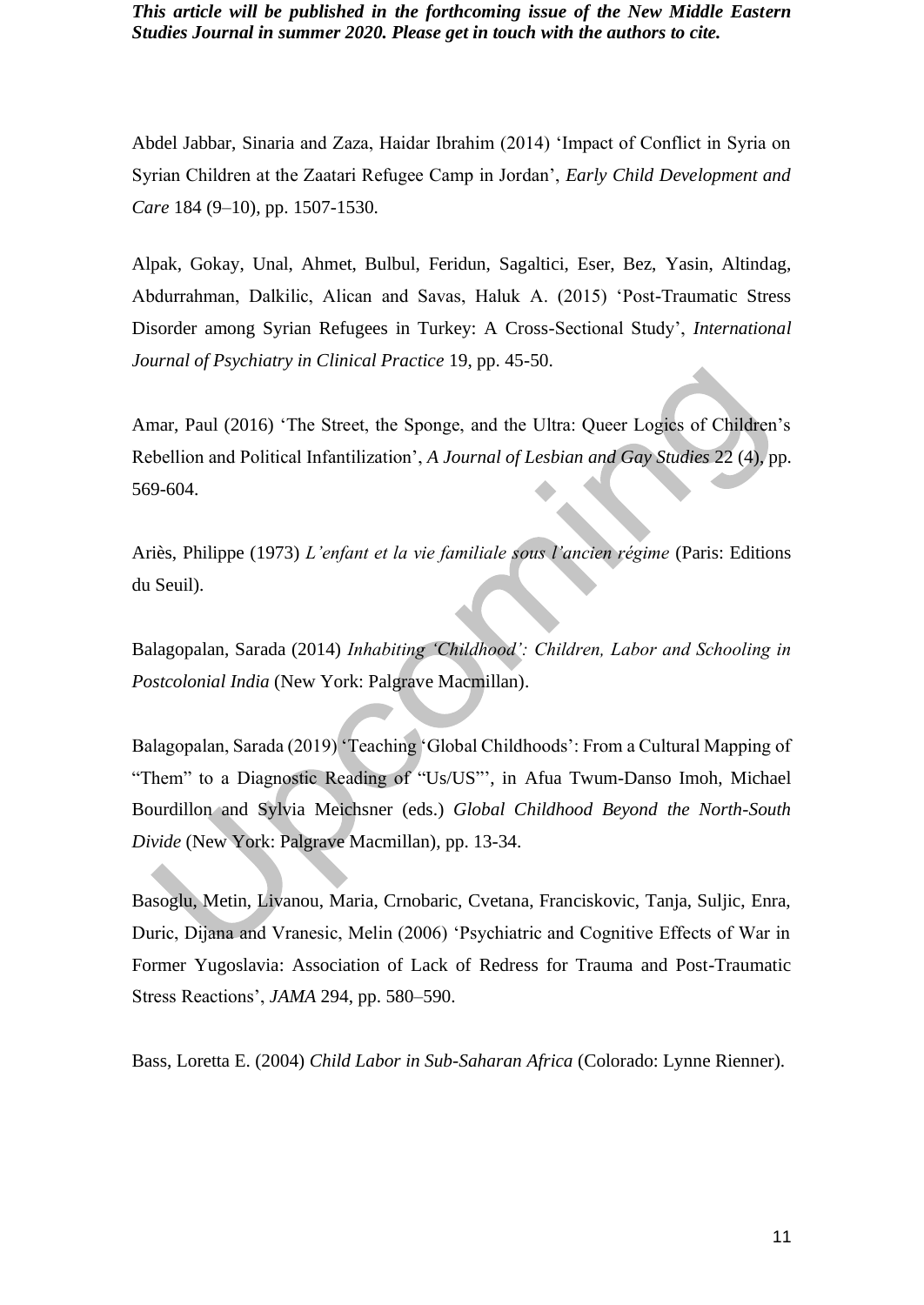Abdel Jabbar, Sinaria and Zaza, Haidar Ibrahim (2014) 'Impact of Conflict in Syria on Syrian Children at the Zaatari Refugee Camp in Jordan', *Early Child Development and Care* 184 (9–10), pp. 1507-1530.

Alpak, Gokay, Unal, Ahmet, Bulbul, Feridun, Sagaltici, Eser, Bez, Yasin, Altindag, Abdurrahman, Dalkilic, Alican and Savas, Haluk A. (2015) 'Post-Traumatic Stress Disorder among Syrian Refugees in Turkey: A Cross-Sectional Study', *International Journal of Psychiatry in Clinical Practice* 19, pp. 45-50.

Amar, Paul (2016) 'The Street, the Sponge, and the Ultra: Queer Logics of Children's Rebellion and Political Infantilization', *A Journal of Lesbian and Gay Studies* 22 (4), pp. 569-604.

Ariès, Philippe (1973) *L'enfant et la vie familiale sous l'ancien régime* (Paris: Editions du Seuil).

Balagopalan, Sarada (2014) *Inhabiting 'Childhood': Children, Labor and Schooling in Postcolonial India* (New York: Palgrave Macmillan).

Balagopalan, Sarada (2019) 'Teaching 'Global Childhoods': From a Cultural Mapping of "Them" to a Diagnostic Reading of "Us/US"', in Afua Twum-Danso Imoh, Michael Bourdillon and Sylvia Meichsner (eds.) *Global Childhood Beyond the North-South Divide* (New York: Palgrave Macmillan), pp. 13-34.

Basoglu, Metin, Livanou, Maria, Crnobaric, Cvetana, Franciskovic, Tanja, Suljic, Enra, Duric, Dijana and Vranesic, Melin (2006) 'Psychiatric and Cognitive Effects of War in Former Yugoslavia: Association of Lack of Redress for Trauma and Post-Traumatic Stress Reactions', *JAMA* 294, pp. 580–590.

Bass, Loretta E. (2004) *Child Labor in Sub-Saharan Africa* (Colorado: Lynne Rienner).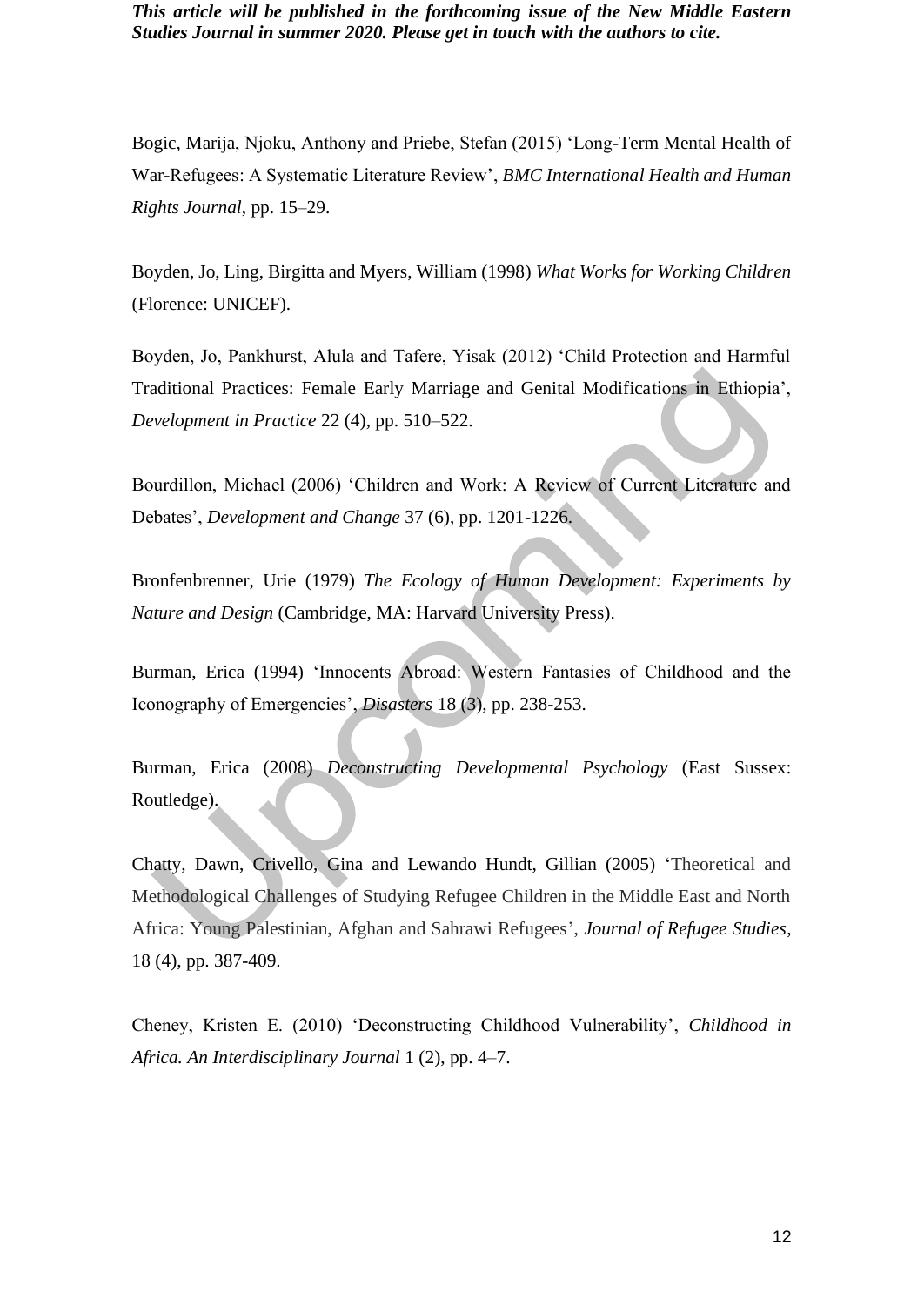Bogic, Marija, Njoku, Anthony and Priebe, Stefan (2015) 'Long-Term Mental Health of War-Refugees: A Systematic Literature Review', *BMC International Health and Human Rights Journal*, pp. 15–29.

Boyden, Jo, Ling, Birgitta and Myers, William (1998) *What Works for Working Children* (Florence: UNICEF).

Boyden, Jo, Pankhurst, Alula and Tafere, Yisak (2012) 'Child Protection and Harmful Traditional Practices: Female Early Marriage and Genital Modifications in Ethiopia', *Development in Practice* 22 (4), pp. 510–522.

Bourdillon, Michael (2006) 'Children and Work: A Review of Current Literature and Debates', *Development and Change* 37 (6), pp. 1201-1226.

Bronfenbrenner, Urie (1979) *The Ecology of Human Development: Experiments by Nature and Design* (Cambridge, MA: Harvard University Press).

Burman, Erica (1994) 'Innocents Abroad: Western Fantasies of Childhood and the Iconography of Emergencies', *Disasters* 18 (3), pp. 238-253.

Burman, Erica (2008) *Deconstructing Developmental Psychology* (East Sussex: Routledge).

Chatty, Dawn, Crivello, Gina and Lewando Hundt, Gillian (2005) 'Theoretical and Methodological Challenges of Studying Refugee Children in the Middle East and North Africa: Young Palestinian, Afghan and Sahrawi Refugees', *Journal of Refugee Studies*, 18 (4), pp. 387-409.

Cheney, Kristen E. (2010) 'Deconstructing Childhood Vulnerability', *Childhood in Africa. An Interdisciplinary Journal* 1 (2), pp. 4–7.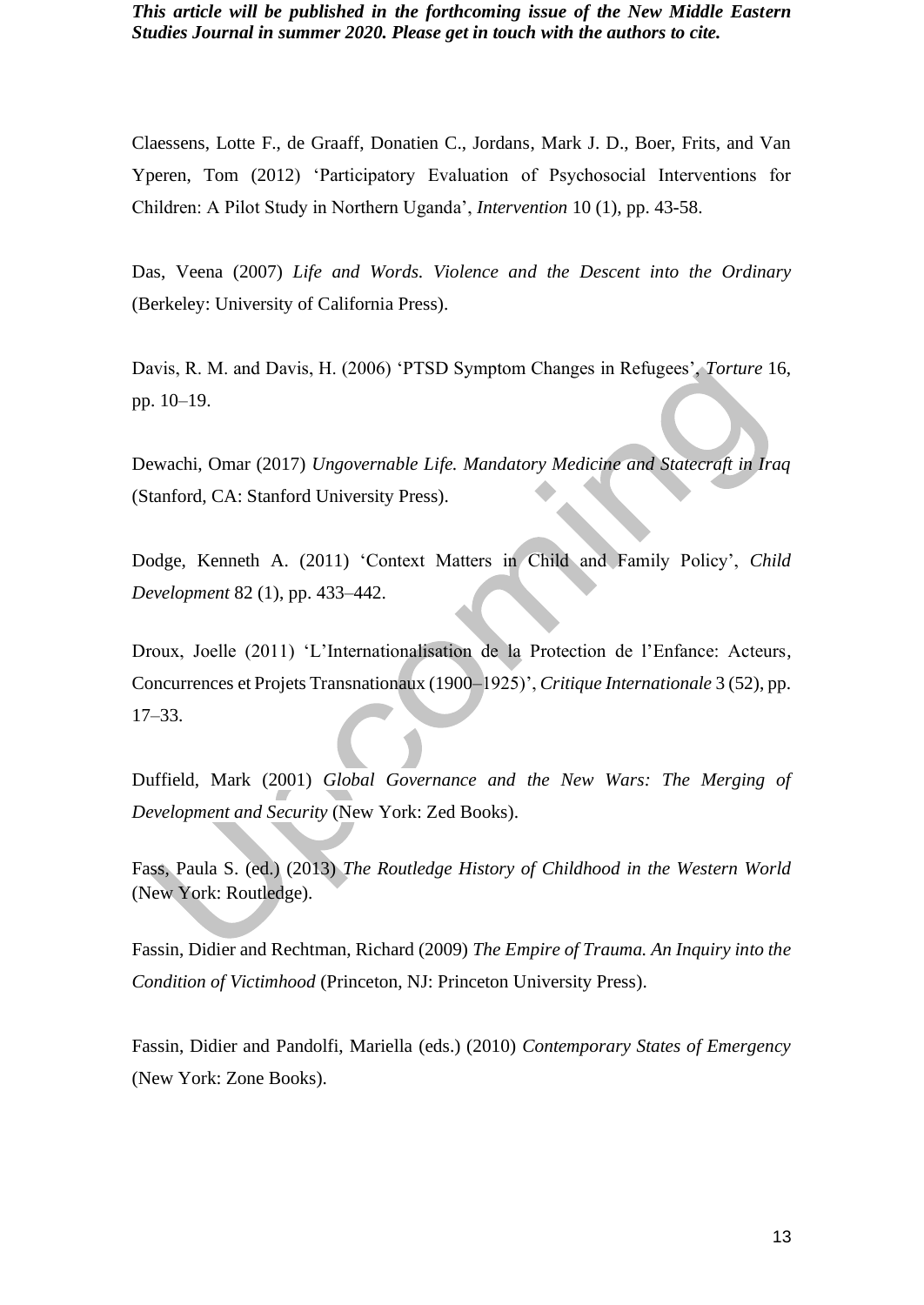Claessens, Lotte F., de Graaff, Donatien C., Jordans, Mark J. D., Boer, Frits, and Van Yperen, Tom (2012) 'Participatory Evaluation of Psychosocial Interventions for Children: A Pilot Study in Northern Uganda', *Intervention* 10 (1), pp. 43-58.

Das, Veena (2007) *Life and Words. Violence and the Descent into the Ordinary* (Berkeley: University of California Press).

Davis, R. M. and Davis, H. (2006) 'PTSD Symptom Changes in Refugees', *Torture* 16, pp. 10–19.

Dewachi, Omar (2017) *Ungovernable Life. Mandatory Medicine and Statecraft in Iraq* (Stanford, CA: Stanford University Press).

Dodge, Kenneth A. (2011) 'Context Matters in Child and Family Policy', *Child Development* 82 (1), pp. 433–442.

Droux, Joelle (2011) 'L'Internationalisation de la Protection de l'Enfance: Acteurs, Concurrences et Projets Transnationaux (1900–1925)', *Critique Internationale* 3 (52), pp. 17–33.

Duffield, Mark (2001) *Global Governance and the New Wars: The Merging of Development and Security* (New York: Zed Books).

Fass, Paula S. (ed.) (2013) *The Routledge History of Childhood in the Western World* (New York: Routledge).

Fassin, Didier and Rechtman, Richard (2009) *The Empire of Trauma. An Inquiry into the Condition of Victimhood* (Princeton, NJ: Princeton University Press).

Fassin, Didier and Pandolfi, Mariella (eds.) (2010) *Contemporary States of Emergency* (New York: Zone Books).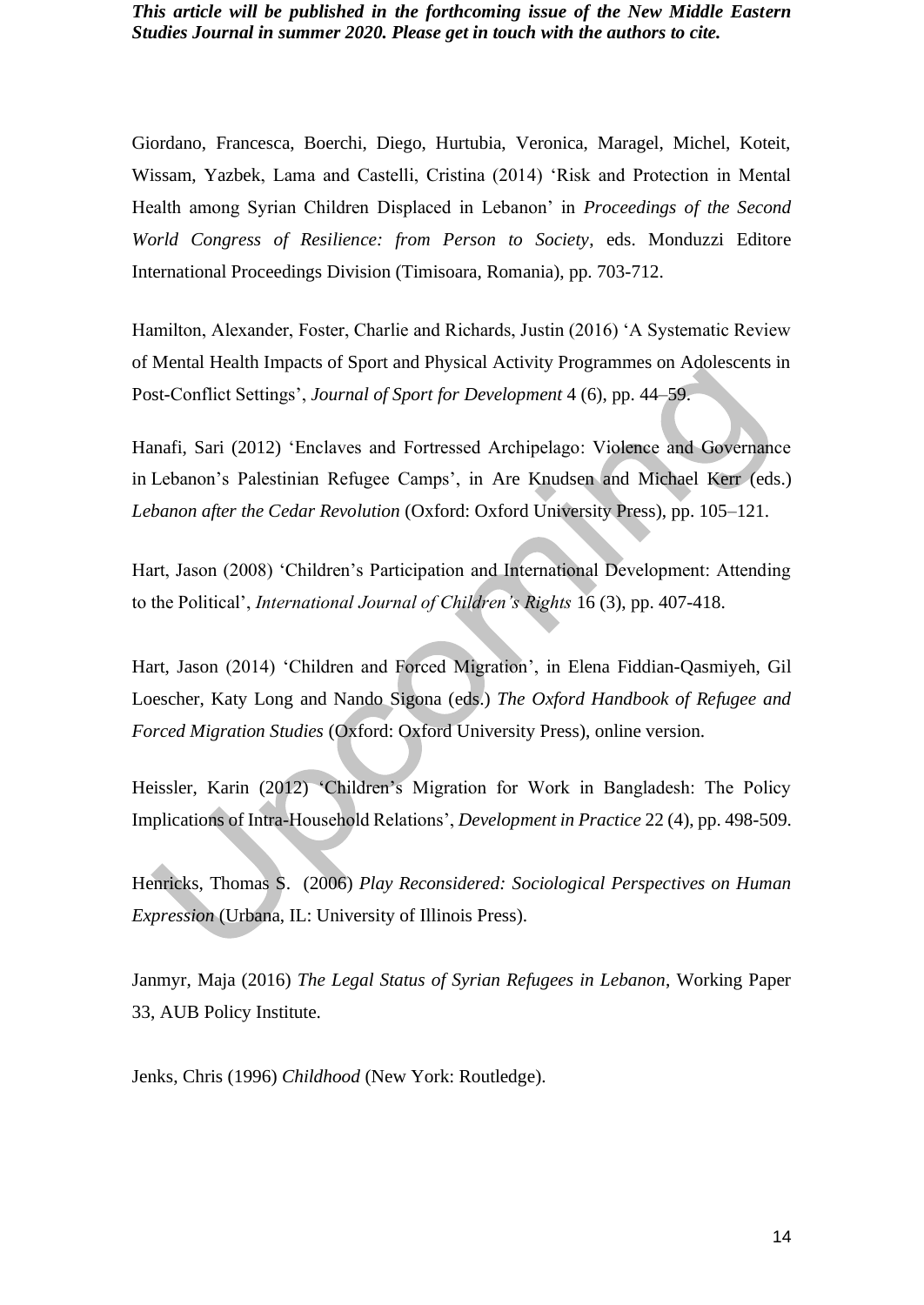Giordano, Francesca, Boerchi, Diego, Hurtubia, Veronica, Maragel, Michel, Koteit, Wissam, Yazbek, Lama and Castelli, Cristina (2014) 'Risk and Protection in Mental Health among Syrian Children Displaced in Lebanon' in *Proceedings of the Second World Congress of Resilience: from Person to Society*, eds. Monduzzi Editore International Proceedings Division (Timisoara, Romania), pp. 703-712.

Hamilton, Alexander, Foster, Charlie and Richards, Justin (2016) 'A Systematic Review of Mental Health Impacts of Sport and Physical Activity Programmes on Adolescents in Post-Conflict Settings', *Journal of Sport for Development* 4 (6), pp. 44–59.

Hanafi, Sari (2012) 'Enclaves and Fortressed Archipelago: Violence and Governance in Lebanon's Palestinian Refugee Camps', in Are Knudsen and Michael Kerr (eds.) *Lebanon after the Cedar Revolution* (Oxford: Oxford University Press), pp. 105–121.

Hart, Jason (2008) 'Children's Participation and International Development: Attending to the Political', *International Journal of Children's Rights* 16 (3), pp. 407-418.

Hart, Jason (2014) 'Children and Forced Migration', in Elena Fiddian-Qasmiyeh, Gil Loescher, Katy Long and Nando Sigona (eds.) *The Oxford Handbook of Refugee and Forced Migration Studies* (Oxford: Oxford University Press), online version.

Heissler, Karin (2012) 'Children's Migration for Work in Bangladesh: The Policy Implications of Intra-Household Relations', *Development in Practice* 22 (4), pp. 498-509.

Henricks, Thomas S. (2006) *Play Reconsidered: Sociological Perspectives on Human Expression* (Urbana, IL: University of Illinois Press).

Janmyr, Maja (2016) *The Legal Status of Syrian Refugees in Lebanon*, Working Paper 33, AUB Policy Institute.

Jenks, Chris (1996) *Childhood* (New York: Routledge).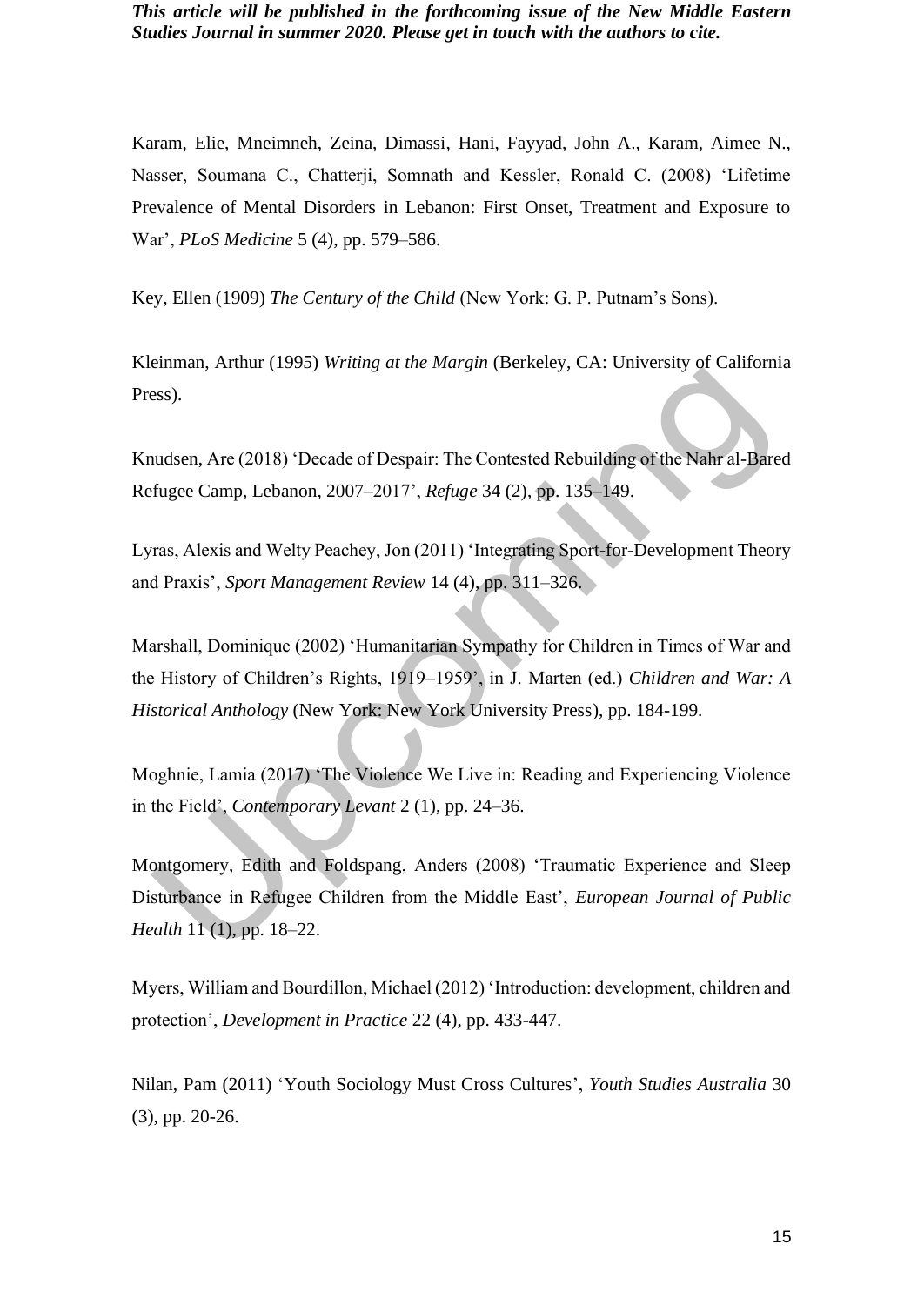Karam, Elie, Mneimneh, Zeina, Dimassi, Hani, Fayyad, John A., Karam, Aimee N., Nasser, Soumana C., Chatterji, Somnath and Kessler, Ronald C. (2008) 'Lifetime Prevalence of Mental Disorders in Lebanon: First Onset, Treatment and Exposure to War', *PLoS Medicine* 5 (4), pp. 579–586.

Key, Ellen (1909) *The Century of the Child* (New York: G. P. Putnam's Sons).

Kleinman, Arthur (1995) *Writing at the Margin* (Berkeley, CA: University of California Press).

Knudsen, Are (2018) 'Decade of Despair: The Contested Rebuilding of the Nahr al-Bared Refugee Camp, Lebanon, 2007–2017', *Refuge* 34 (2), pp. 135–149.

Lyras, Alexis and Welty Peachey, Jon (2011) 'Integrating Sport-for-Development Theory and Praxis', *Sport Management Review* 14 (4), pp. 311–326.

Marshall, Dominique (2002) 'Humanitarian Sympathy for Children in Times of War and the History of Children's Rights, 1919–1959', in J. Marten (ed.) *Children and War: A Historical Anthology* (New York: New York University Press), pp. 184-199.

Moghnie, Lamia (2017) 'The Violence We Live in: Reading and Experiencing Violence in the Field', *Contemporary Levant* 2 (1), pp. 24–36.

Montgomery, Edith and Foldspang, Anders (2008) 'Traumatic Experience and Sleep Disturbance in Refugee Children from the Middle East', *European Journal of Public Health* 11 (1), pp. 18–22.

Myers, William and Bourdillon, Michael (2012) 'Introduction: development, children and protection', *Development in Practice* 22 (4), pp. 433-447.

Nilan, Pam (2011) 'Youth Sociology Must Cross Cultures', *Youth Studies Australia* 30 (3), pp. 20-26.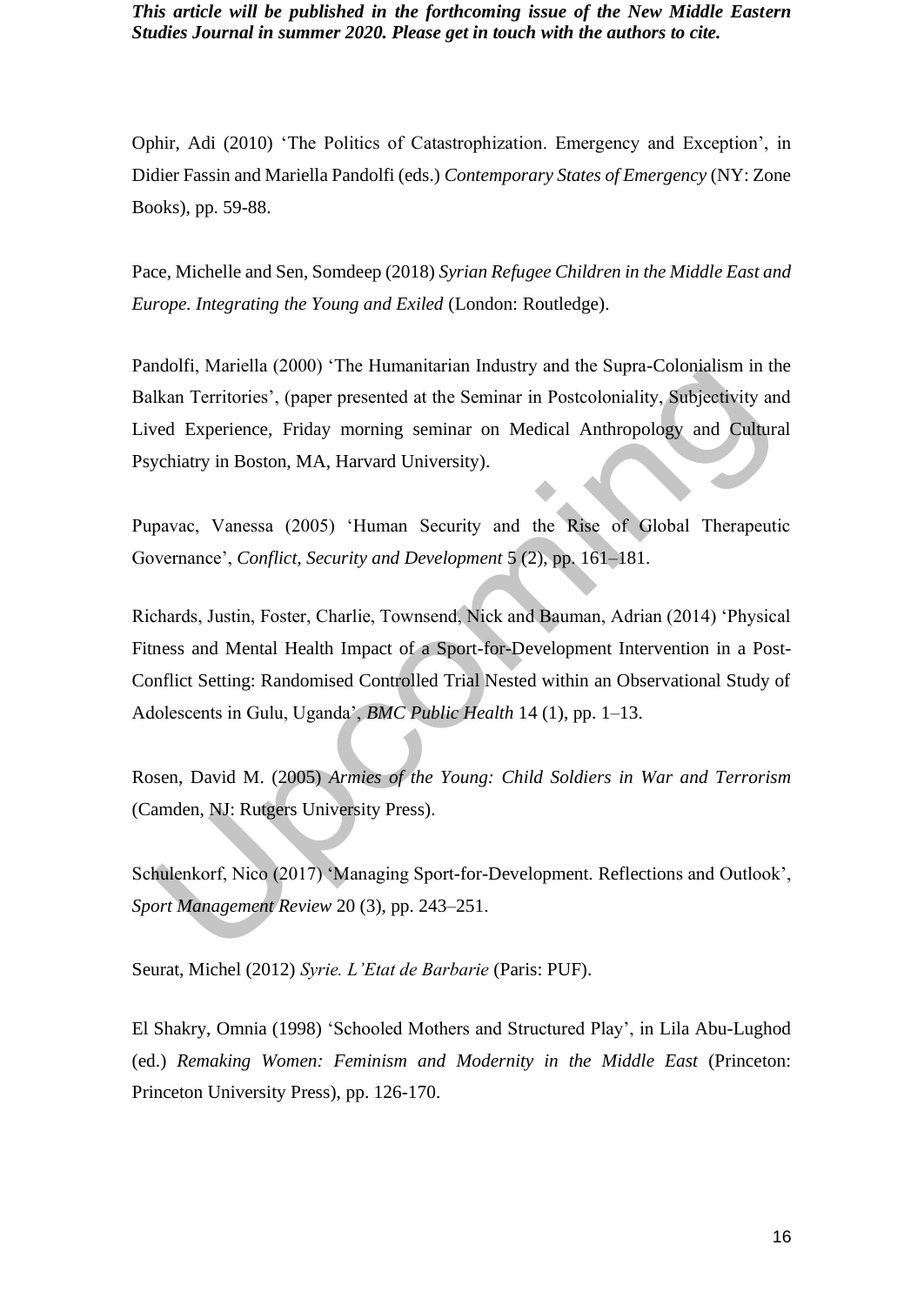Ophir, Adi (2010) 'The Politics of Catastrophization. Emergency and Exception', in Didier Fassin and Mariella Pandolfi (eds.) *Contemporary States of Emergency* (NY: Zone Books), pp. 59-88.

Pace, Michelle and Sen, Somdeep (2018) *Syrian Refugee Children in the Middle East and Europe. Integrating the Young and Exiled* (London: Routledge).

Pandolfi, Mariella (2000) 'The Humanitarian Industry and the Supra-Colonialism in the Balkan Territories', (paper presented at the Seminar in Postcoloniality, Subjectivity and Lived Experience, Friday morning seminar on Medical Anthropology and Cultural Psychiatry in Boston, MA, Harvard University).

Pupavac, Vanessa (2005) 'Human Security and the Rise of Global Therapeutic Governance', *Conflict, Security and Development* 5 (2), pp. 161–181.

Richards, Justin, Foster, Charlie, Townsend, Nick and Bauman, Adrian (2014) 'Physical Fitness and Mental Health Impact of a Sport-for-Development Intervention in a Post-Conflict Setting: Randomised Controlled Trial Nested within an Observational Study of Adolescents in Gulu, Uganda', *BMC Public Health* 14 (1), pp. 1–13.

Rosen, David M. (2005) *Armies of the Young: Child Soldiers in War and Terrorism* (Camden, NJ: Rutgers University Press).

Schulenkorf, Nico (2017) 'Managing Sport-for-Development. Reflections and Outlook', *Sport Management Review* 20 (3), pp. 243–251.

Seurat, Michel (2012) *Syrie. L'Etat de Barbarie* (Paris: PUF).

El Shakry, Omnia (1998) 'Schooled Mothers and Structured Play', in Lila Abu-Lughod (ed.) *Remaking Women: Feminism and Modernity in the Middle East* (Princeton: Princeton University Press), pp. 126-170.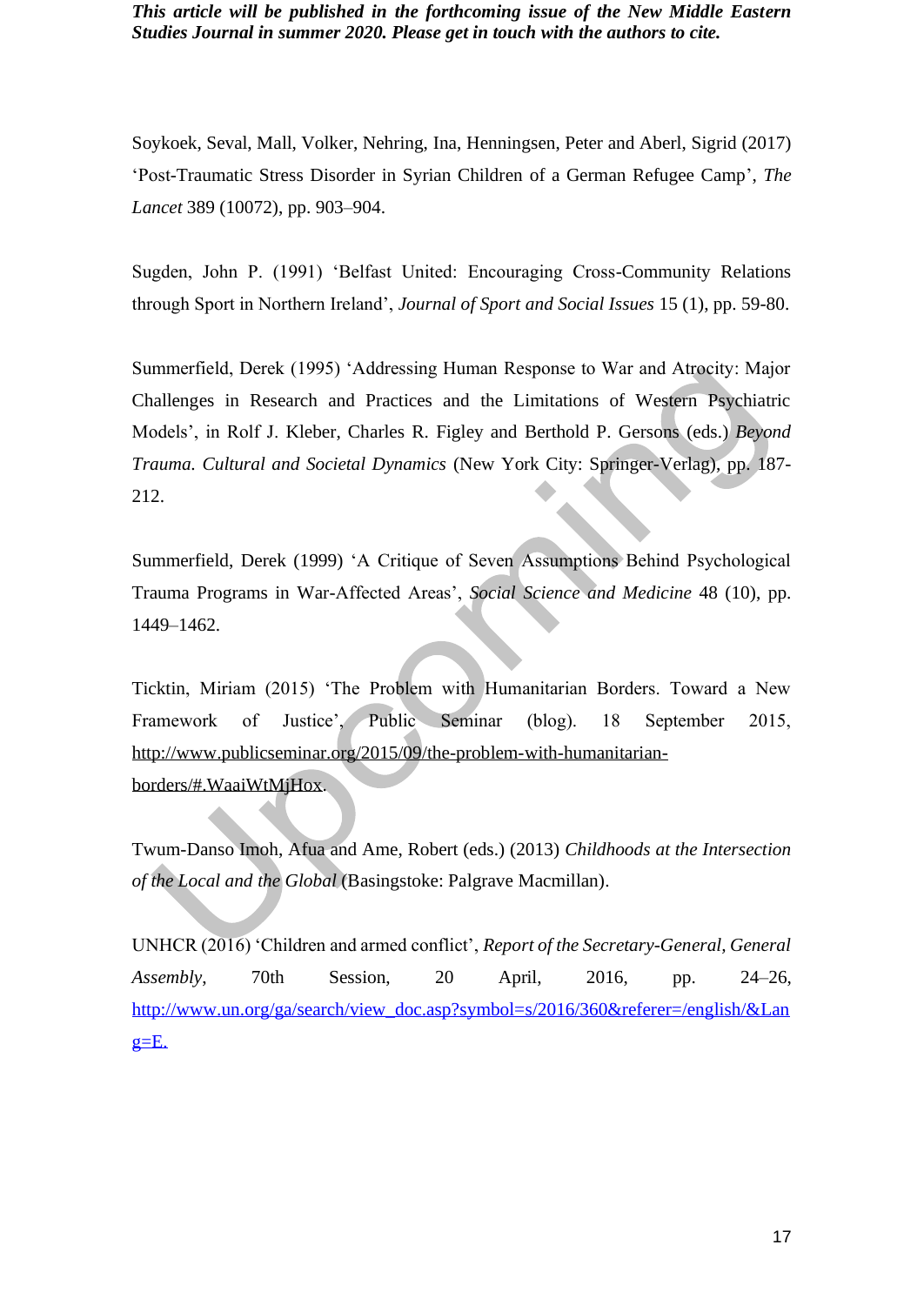Soykoek, Seval, Mall, Volker, Nehring, Ina, Henningsen, Peter and Aberl, Sigrid (2017) 'Post-Traumatic Stress Disorder in Syrian Children of a German Refugee Camp', *The Lancet* 389 (10072), pp. 903–904.

Sugden, John P. (1991) 'Belfast United: Encouraging Cross-Community Relations through Sport in Northern Ireland', *Journal of Sport and Social Issues* 15 (1), pp. 59-80.

Summerfield, Derek (1995) 'Addressing Human Response to War and Atrocity: Major Challenges in Research and Practices and the Limitations of Western Psychiatric Models', in Rolf J. Kleber, Charles R. Figley and Berthold P. Gersons (eds.) *Beyond Trauma. Cultural and Societal Dynamics* (New York City: Springer-Verlag), pp. 187- 212.

Summerfield, Derek (1999) 'A Critique of Seven Assumptions Behind Psychological Trauma Programs in War-Affected Areas', *Social Science and Medicine* 48 (10), pp. 1449–1462.

Ticktin, Miriam (2015) 'The Problem with Humanitarian Borders. Toward a New Framework of Justice', Public Seminar (blog). 18 September 2015, [http://www.publicseminar.org/2015/09/the-problem-with-humanitarian](http://www.publicseminar.org/2015/09/the-problem-with-humanitarian-borders/#.WaaiWtMjHox)[borders/#.WaaiWtMjHox.](http://www.publicseminar.org/2015/09/the-problem-with-humanitarian-borders/#.WaaiWtMjHox)

Twum-Danso Imoh, Afua and Ame, Robert (eds.) (2013) *Childhoods at the Intersection of the Local and the Global* (Basingstoke: Palgrave Macmillan).

UNHCR (2016) 'Children and armed conflict', *Report of the Secretary-General, General Assembly*, 70th Session, 20 April, 2016, pp. 24–26, [http://www.un.org/ga/search/view\\_doc.asp?symbol=s/2016/360&referer=/english/&Lan](http://www.un.org/ga/search/view_doc.asp?symbol=s/2016/360&referer=/english/&Lang=E)  $g=$  $E$ .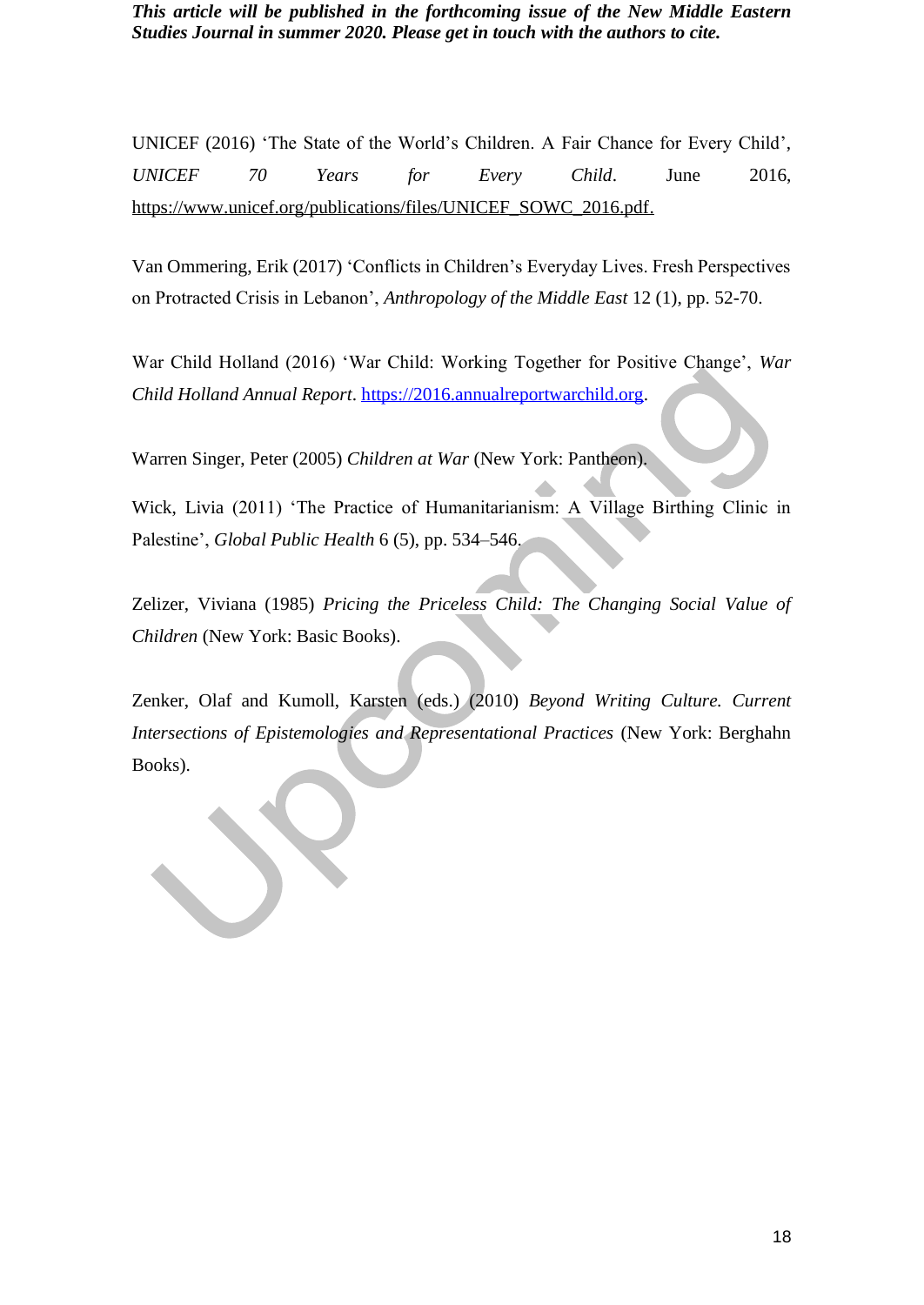UNICEF (2016) 'The State of the World's Children. A Fair Chance for Every Child', *UNICEF 70 Years for Every Child*. June 2016, [https://www.unicef.org/publications/files/UNICEF\\_SOWC\\_2016.pdf.](https://www.unicef.org/publications/files/UNICEF_SOWC_2016.pdf)

Van Ommering, Erik (2017) 'Conflicts in Children's Everyday Lives. Fresh Perspectives on Protracted Crisis in Lebanon', *Anthropology of the Middle East* 12 (1), pp. 52-70.

War Child Holland (2016) 'War Child: Working Together for Positive Change', *War Child Holland Annual Report*. [https://2016.annualreportwarchild.org.](https://2016.annualreportwarchild.org/)

Warren Singer, Peter (2005) *Children at War* (New York: Pantheon).

Wick, Livia (2011) 'The Practice of Humanitarianism: A Village Birthing Clinic in Palestine', *Global Public Health* 6 (5), pp. 534–546.

Zelizer, Viviana (1985) *Pricing the Priceless Child: The Changing Social Value of Children* (New York: Basic Books).

Zenker, Olaf and Kumoll, Karsten (eds.) (2010) *Beyond Writing Culture. Current Intersections of Epistemologies and Representational Practices* (New York: Berghahn Books).